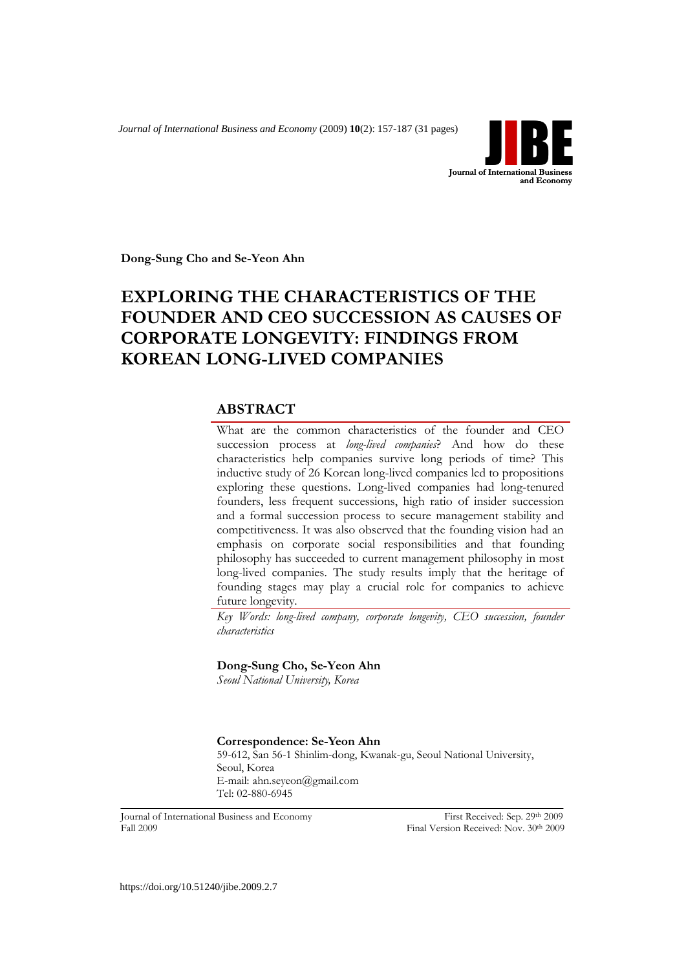*Journal of International Business and Economy* (2009) **10**(2): 157-187 (31 pages)



**Dong-Sung Cho and Se-Yeon Ahn**

# **EXPLORING THE CHARACTERISTICS OF THE FOUNDER AND CEO SUCCESSION AS CAUSES OF CORPORATE LONGEVITY: FINDINGS FROM KOREAN LONG-LIVED COMPANIES**

## **ABSTRACT**

What are the common characteristics of the founder and CEO succession process at *long-lived companies*? And how do these characteristics help companies survive long periods of time? This inductive study of 26 Korean long-lived companies led to propositions exploring these questions. Long-lived companies had long-tenured founders, less frequent successions, high ratio of insider succession and a formal succession process to secure management stability and competitiveness. It was also observed that the founding vision had an emphasis on corporate social responsibilities and that founding philosophy has succeeded to current management philosophy in most long-lived companies. The study results imply that the heritage of founding stages may play a crucial role for companies to achieve future longevity.

*Key Words: long-lived company, corporate longevity, CEO succession, founder characteristics*

## **Dong-Sung Cho, Se-Yeon Ahn**

*Seoul National University, Korea*

## **Correspondence: Se-Yeon Ahn**

59-612, San 56-1 Shinlim-dong, Kwanak-gu, Seoul National University, Seoul, Korea E-mail: ahn.seyeon@gmail.com Tel: 02-880-6945

Journal of International Business and Economy First Received: Sep. 29th 2009 Fall 2009 Final Version Received: Nov. 30th 2009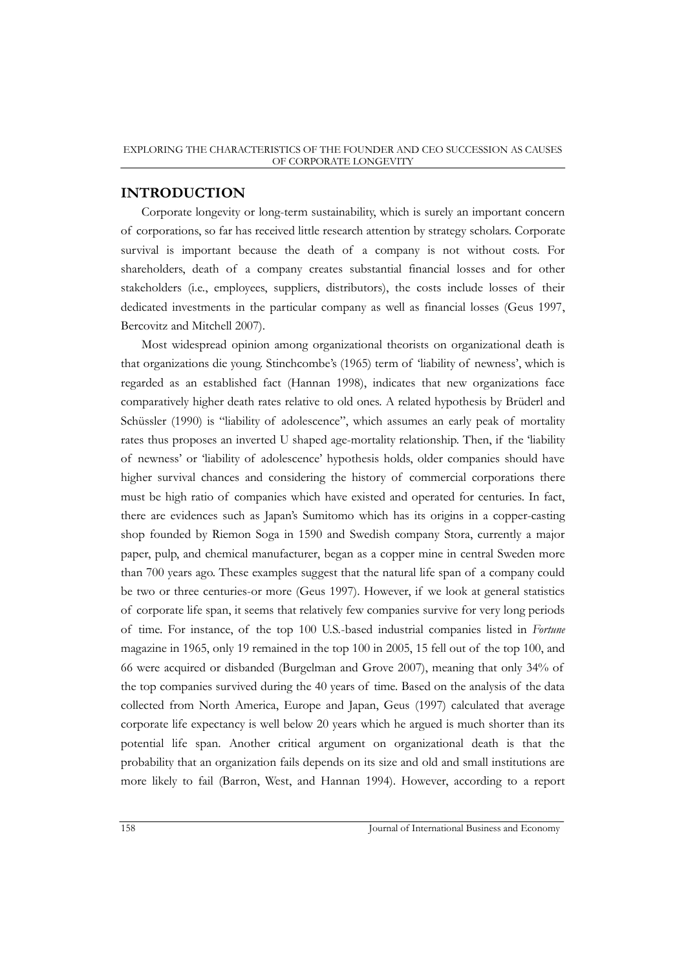## **INTRODUCTION**

Corporate longevity or long-term sustainability, which is surely an important concern of corporations, so far has received little research attention by strategy scholars. Corporate survival is important because the death of a company is not without costs. For shareholders, death of a company creates substantial financial losses and for other stakeholders (i.e., employees, suppliers, distributors), the costs include losses of their dedicated investments in the particular company as well as financial losses (Geus 1997, Bercovitz and Mitchell 2007).

Most widespread opinion among organizational theorists on organizational death is that organizations die young. Stinchcombe's (1965) term of 'liability of newness', which is regarded as an established fact (Hannan 1998), indicates that new organizations face comparatively higher death rates relative to old ones. A related hypothesis by Brüderl and Schüssler (1990) is "liability of adolescence", which assumes an early peak of mortality rates thus proposes an inverted U shaped age-mortality relationship. Then, if the "liability of newness" or "liability of adolescence" hypothesis holds, older companies should have higher survival chances and considering the history of commercial corporations there must be high ratio of companies which have existed and operated for centuries. In fact, there are evidences such as Japan"s Sumitomo which has its origins in a copper-casting shop founded by Riemon Soga in 1590 and Swedish company Stora, currently a major paper, pulp, and chemical manufacturer, began as a copper mine in central Sweden more than 700 years ago. These examples suggest that the natural life span of a company could be two or three centuries-or more (Geus 1997). However, if we look at general statistics of corporate life span, it seems that relatively few companies survive for very long periods of time. For instance, of the top 100 U.S.-based industrial companies listed in *Fortune* magazine in 1965, only 19 remained in the top 100 in 2005, 15 fell out of the top 100, and 66 were acquired or disbanded (Burgelman and Grove 2007), meaning that only 34% of the top companies survived during the 40 years of time. Based on the analysis of the data collected from North America, Europe and Japan, Geus (1997) calculated that average corporate life expectancy is well below 20 years which he argued is much shorter than its potential life span. Another critical argument on organizational death is that the probability that an organization fails depends on its size and old and small institutions are more likely to fail (Barron, West, and Hannan 1994). However, according to a report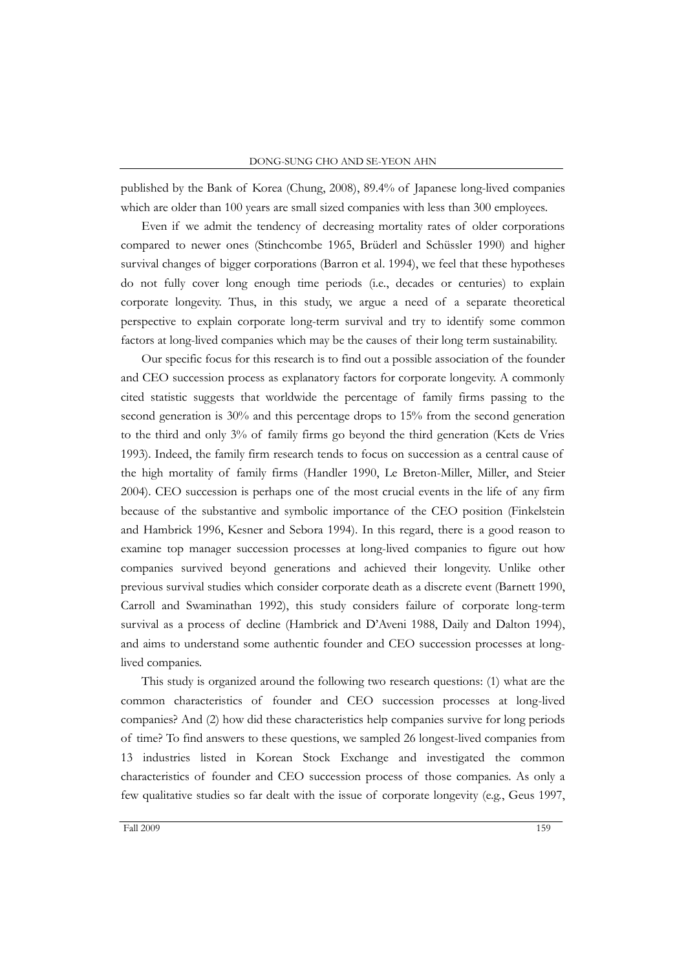published by the Bank of Korea (Chung, 2008), 89.4% of Japanese long-lived companies which are older than 100 years are small sized companies with less than 300 employees.

Even if we admit the tendency of decreasing mortality rates of older corporations compared to newer ones (Stinchcombe 1965, Brüderl and Schüssler 1990) and higher survival changes of bigger corporations (Barron et al. 1994), we feel that these hypotheses do not fully cover long enough time periods (i.e., decades or centuries) to explain corporate longevity. Thus, in this study, we argue a need of a separate theoretical perspective to explain corporate long-term survival and try to identify some common factors at long-lived companies which may be the causes of their long term sustainability.

Our specific focus for this research is to find out a possible association of the founder and CEO succession process as explanatory factors for corporate longevity. A commonly cited statistic suggests that worldwide the percentage of family firms passing to the second generation is 30% and this percentage drops to 15% from the second generation to the third and only 3% of family firms go beyond the third generation (Kets de Vries 1993). Indeed, the family firm research tends to focus on succession as a central cause of the high mortality of family firms (Handler 1990, Le Breton-Miller, Miller, and Steier 2004). CEO succession is perhaps one of the most crucial events in the life of any firm because of the substantive and symbolic importance of the CEO position (Finkelstein and Hambrick 1996, Kesner and Sebora 1994). In this regard, there is a good reason to examine top manager succession processes at long-lived companies to figure out how companies survived beyond generations and achieved their longevity. Unlike other previous survival studies which consider corporate death as a discrete event (Barnett 1990, Carroll and Swaminathan 1992), this study considers failure of corporate long-term survival as a process of decline (Hambrick and D"Aveni 1988, Daily and Dalton 1994), and aims to understand some authentic founder and CEO succession processes at longlived companies.

This study is organized around the following two research questions: (1) what are the common characteristics of founder and CEO succession processes at long-lived companies? And (2) how did these characteristics help companies survive for long periods of time? To find answers to these questions, we sampled 26 longest-lived companies from 13 industries listed in Korean Stock Exchange and investigated the common characteristics of founder and CEO succession process of those companies. As only a few qualitative studies so far dealt with the issue of corporate longevity (e.g., Geus 1997,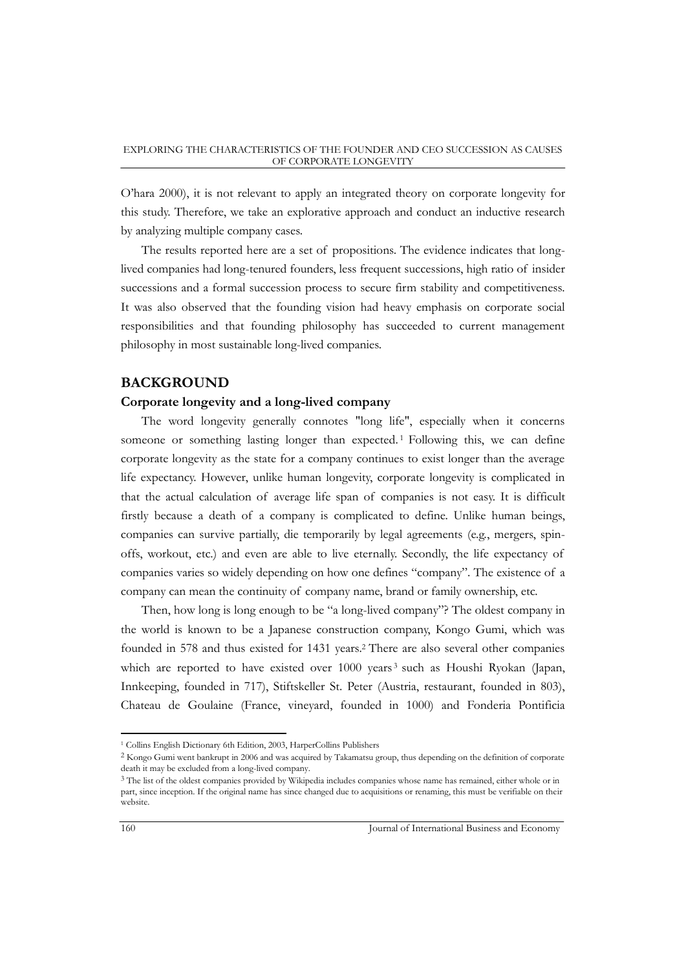O"hara 2000), it is not relevant to apply an integrated theory on corporate longevity for this study. Therefore, we take an explorative approach and conduct an inductive research by analyzing multiple company cases.

The results reported here are a set of propositions. The evidence indicates that longlived companies had long-tenured founders, less frequent successions, high ratio of insider successions and a formal succession process to secure firm stability and competitiveness. It was also observed that the founding vision had heavy emphasis on corporate social responsibilities and that founding philosophy has succeeded to current management philosophy in most sustainable long-lived companies.

## **BACKGROUND**

## **Corporate longevity and a long-lived company**

The word longevity generally connotes "long life", especially when it concerns someone or something lasting longer than expected. <sup>1</sup> Following this, we can define corporate longevity as the state for a company continues to exist longer than the average life expectancy. However, unlike human longevity, corporate longevity is complicated in that the actual calculation of average life span of companies is not easy. It is difficult firstly because a death of a company is complicated to define. Unlike human beings, companies can survive partially, die temporarily by legal agreements (e.g., mergers, spinoffs, workout, etc.) and even are able to live eternally. Secondly, the life expectancy of companies varies so widely depending on how one defines "company". The existence of a company can mean the continuity of company name, brand or family ownership, etc.

Then, how long is long enough to be "a long-lived company"? The oldest company in the world is known to be a Japanese construction company, Kongo Gumi, which was founded in 578 and thus existed for 1431 years. <sup>2</sup> There are also several other companies which are reported to have existed over 1000 years<sup>3</sup> such as Houshi Ryokan (Japan, Innkeeping, founded in 717), Stiftskeller St. Peter (Austria, restaurant, founded in 803), Chateau de Goulaine (France, vineyard, founded in 1000) and Fonderia Pontificia

<sup>1</sup> Collins English Dictionary 6th Edition, 2003, HarperCollins Publishers

<sup>2</sup> Kongo Gumi went bankrupt in 2006 and was acquired by Takamatsu group, thus depending on the definition of corporate death it may be excluded from a long-lived company.

<sup>&</sup>lt;sup>3</sup> The list of the oldest companies provided by Wikipedia includes companies whose name has remained, either whole or in part, since inception. If the original name has since changed due to acquisitions or renaming, this must be verifiable on their website.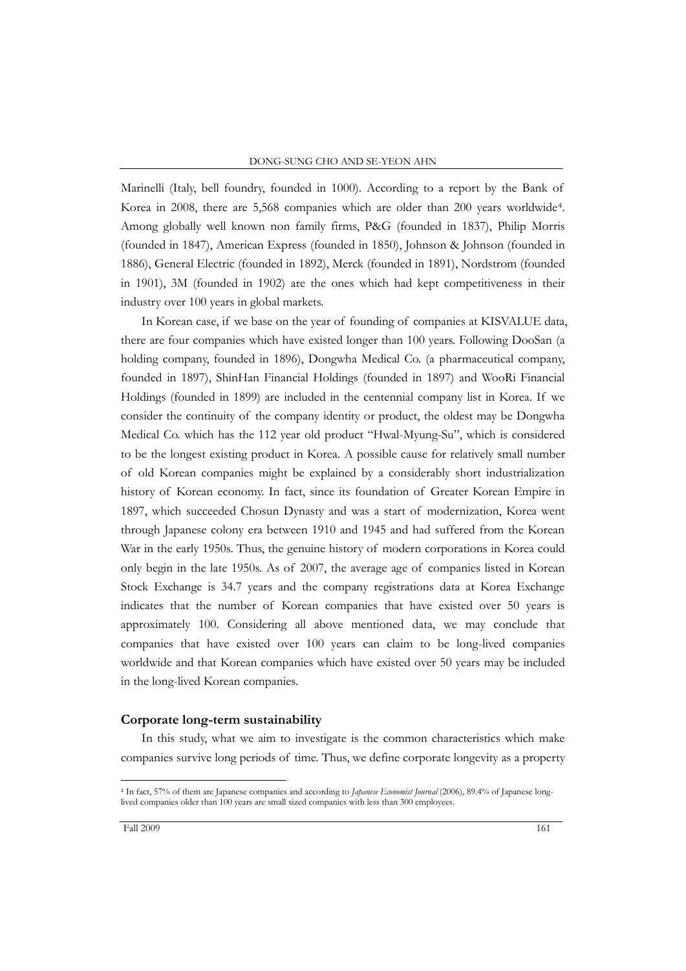Marinelli (Italy, bell foundry, founded in 1000). According to a report by the Bank of Korea in 2008, there are 5,568 companies which are older than 200 years worldwide<sup>4</sup> . Among globally well known non family firms, P&G (founded in 1837), Philip Morris (founded in 1847), American Express (founded in 1850), Johnson & Johnson (founded in 1886), General Electric (founded in 1892), Merck (founded in 1891), Nordstrom (founded in 1901), 3M (founded in 1902) are the ones which had kept competitiveness in their industry over 100 years in global markets.

In Korean case, if we base on the year of founding of companies at KISVALUE data, there are four companies which have existed longer than 100 years. Following DooSan (a holding company, founded in 1896), Dongwha Medical Co. (a pharmaceutical company, founded in 1897), ShinHan Financial Holdings (founded in 1897) and WooRi Financial Holdings (founded in 1899) are included in the centennial company list in Korea. If we consider the continuity of the company identity or product, the oldest may be Dongwha Medical Co. which has the 112 year old product "Hwal-Myung-Su", which is considered to be the longest existing product in Korea. A possible cause for relatively small number of old Korean companies might be explained by a considerably short industrialization history of Korean economy. In fact, since its foundation of Greater Korean Empire in 1897, which succeeded Chosun Dynasty and was a start of modernization, Korea went through Japanese colony era between 1910 and 1945 and had suffered from the Korean War in the early 1950s. Thus, the genuine history of modern corporations in Korea could only begin in the late 1950s. As of 2007, the average age of companies listed in Korean Stock Exchange is 34.7 years and the company registrations data at Korea Exchange indicates that the number of Korean companies that have existed over 50 years is approximately 100. Considering all above mentioned data, we may conclude that companies that have existed over 100 years can claim to be long-lived companies worldwide and that Korean companies which have existed over 50 years may be included in the long-lived Korean companies.

#### **Corporate long-term sustainability**

In this study, what we aim to investigate is the common characteristics which make companies survive long periods of time. Thus, we define corporate longevity as a property

<sup>4</sup> In fact, 57% of them are Japanese companies and according to *Japanese Economist Journal* (2006), 89.4% of Japanese longlived companies older than 100 years are small sized companies with less than 300 employees.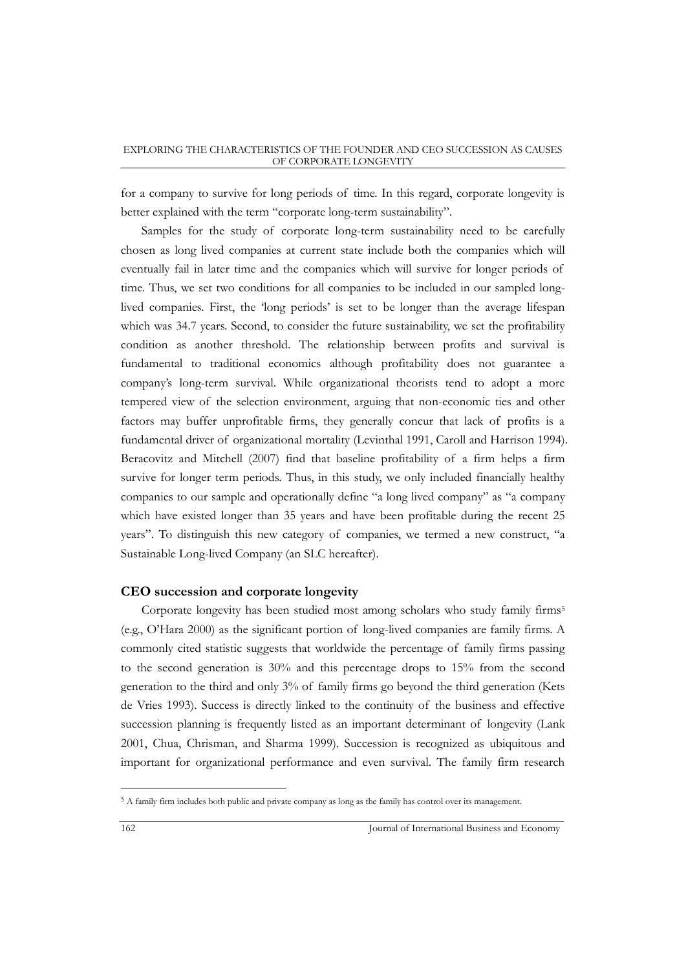for a company to survive for long periods of time. In this regard, corporate longevity is better explained with the term "corporate long-term sustainability".

Samples for the study of corporate long-term sustainability need to be carefully chosen as long lived companies at current state include both the companies which will eventually fail in later time and the companies which will survive for longer periods of time. Thus, we set two conditions for all companies to be included in our sampled longlived companies. First, the "long periods" is set to be longer than the average lifespan which was 34.7 years. Second, to consider the future sustainability, we set the profitability condition as another threshold. The relationship between profits and survival is fundamental to traditional economics although profitability does not guarantee a company"s long-term survival. While organizational theorists tend to adopt a more tempered view of the selection environment, arguing that non-economic ties and other factors may buffer unprofitable firms, they generally concur that lack of profits is a fundamental driver of organizational mortality (Levinthal 1991, Caroll and Harrison 1994). Beracovitz and Mitchell (2007) find that baseline profitability of a firm helps a firm survive for longer term periods. Thus, in this study, we only included financially healthy companies to our sample and operationally define "a long lived company" as "a company which have existed longer than 35 years and have been profitable during the recent 25 years". To distinguish this new category of companies, we termed a new construct, "a Sustainable Long-lived Company (an SLC hereafter).

## **CEO succession and corporate longevity**

Corporate longevity has been studied most among scholars who study family firms<sup>5</sup> (e.g., O"Hara 2000) as the significant portion of long-lived companies are family firms. A commonly cited statistic suggests that worldwide the percentage of family firms passing to the second generation is 30% and this percentage drops to 15% from the second generation to the third and only 3% of family firms go beyond the third generation (Kets de Vries 1993). Success is directly linked to the continuity of the business and effective succession planning is frequently listed as an important determinant of longevity (Lank 2001, Chua, Chrisman, and Sharma 1999). Succession is recognized as ubiquitous and important for organizational performance and even survival. The family firm research

<sup>5</sup> A family firm includes both public and private company as long as the family has control over its management.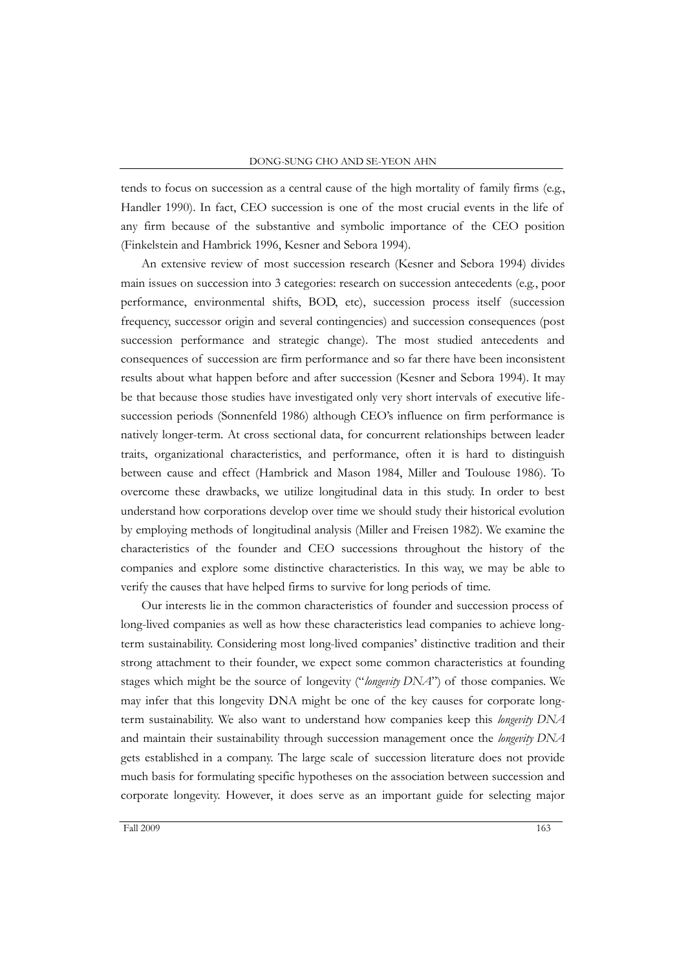tends to focus on succession as a central cause of the high mortality of family firms (e.g., Handler 1990). In fact, CEO succession is one of the most crucial events in the life of any firm because of the substantive and symbolic importance of the CEO position (Finkelstein and Hambrick 1996, Kesner and Sebora 1994).

An extensive review of most succession research (Kesner and Sebora 1994) divides main issues on succession into 3 categories: research on succession antecedents (e.g., poor performance, environmental shifts, BOD, etc), succession process itself (succession frequency, successor origin and several contingencies) and succession consequences (post succession performance and strategic change). The most studied antecedents and consequences of succession are firm performance and so far there have been inconsistent results about what happen before and after succession (Kesner and Sebora 1994). It may be that because those studies have investigated only very short intervals of executive lifesuccession periods (Sonnenfeld 1986) although CEO's influence on firm performance is natively longer-term. At cross sectional data, for concurrent relationships between leader traits, organizational characteristics, and performance, often it is hard to distinguish between cause and effect (Hambrick and Mason 1984, Miller and Toulouse 1986). To overcome these drawbacks, we utilize longitudinal data in this study. In order to best understand how corporations develop over time we should study their historical evolution by employing methods of longitudinal analysis (Miller and Freisen 1982). We examine the characteristics of the founder and CEO successions throughout the history of the companies and explore some distinctive characteristics. In this way, we may be able to verify the causes that have helped firms to survive for long periods of time.

Our interests lie in the common characteristics of founder and succession process of long-lived companies as well as how these characteristics lead companies to achieve longterm sustainability. Considering most long-lived companies" distinctive tradition and their strong attachment to their founder, we expect some common characteristics at founding stages which might be the source of longevity ("*longevity DNA*") of those companies. We may infer that this longevity DNA might be one of the key causes for corporate longterm sustainability. We also want to understand how companies keep this *longevity DNA* and maintain their sustainability through succession management once the *longevity DNA* gets established in a company. The large scale of succession literature does not provide much basis for formulating specific hypotheses on the association between succession and corporate longevity. However, it does serve as an important guide for selecting major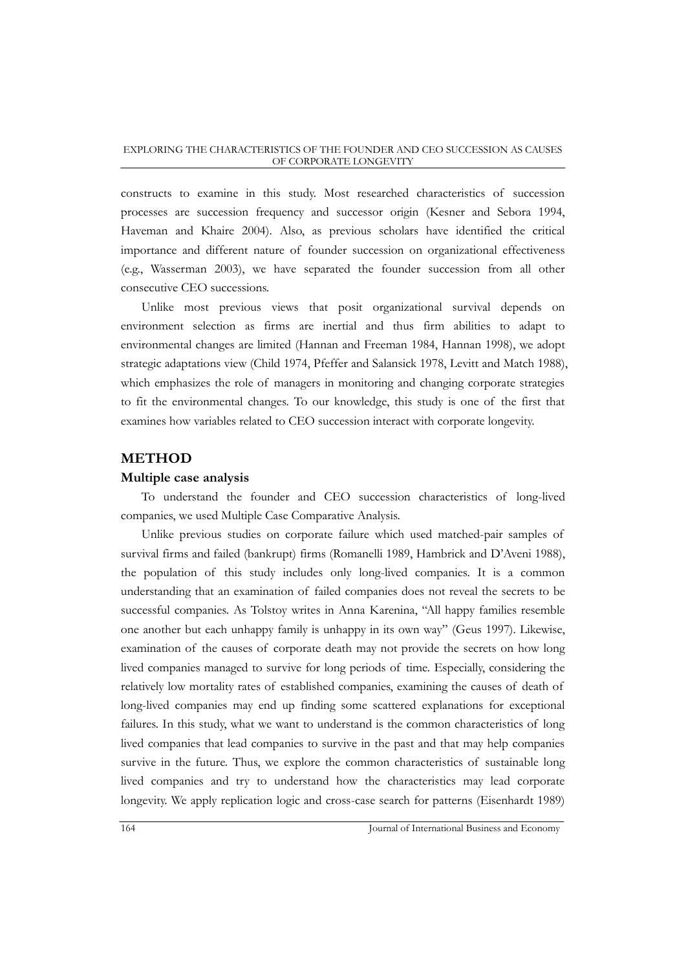constructs to examine in this study. Most researched characteristics of succession processes are succession frequency and successor origin (Kesner and Sebora 1994, Haveman and Khaire 2004). Also, as previous scholars have identified the critical importance and different nature of founder succession on organizational effectiveness (e.g., Wasserman 2003), we have separated the founder succession from all other consecutive CEO successions.

Unlike most previous views that posit organizational survival depends on environment selection as firms are inertial and thus firm abilities to adapt to environmental changes are limited (Hannan and Freeman 1984, Hannan 1998), we adopt strategic adaptations view (Child 1974, Pfeffer and Salansick 1978, Levitt and Match 1988), which emphasizes the role of managers in monitoring and changing corporate strategies to fit the environmental changes. To our knowledge, this study is one of the first that examines how variables related to CEO succession interact with corporate longevity.

## **METHOD**

### **Multiple case analysis**

To understand the founder and CEO succession characteristics of long-lived companies, we used Multiple Case Comparative Analysis.

Unlike previous studies on corporate failure which used matched-pair samples of survival firms and failed (bankrupt) firms (Romanelli 1989, Hambrick and D"Aveni 1988), the population of this study includes only long-lived companies. It is a common understanding that an examination of failed companies does not reveal the secrets to be successful companies. As Tolstoy writes in Anna Karenina, "All happy families resemble one another but each unhappy family is unhappy in its own way" (Geus 1997). Likewise, examination of the causes of corporate death may not provide the secrets on how long lived companies managed to survive for long periods of time. Especially, considering the relatively low mortality rates of established companies, examining the causes of death of long-lived companies may end up finding some scattered explanations for exceptional failures. In this study, what we want to understand is the common characteristics of long lived companies that lead companies to survive in the past and that may help companies survive in the future. Thus, we explore the common characteristics of sustainable long lived companies and try to understand how the characteristics may lead corporate longevity. We apply replication logic and cross-case search for patterns (Eisenhardt 1989)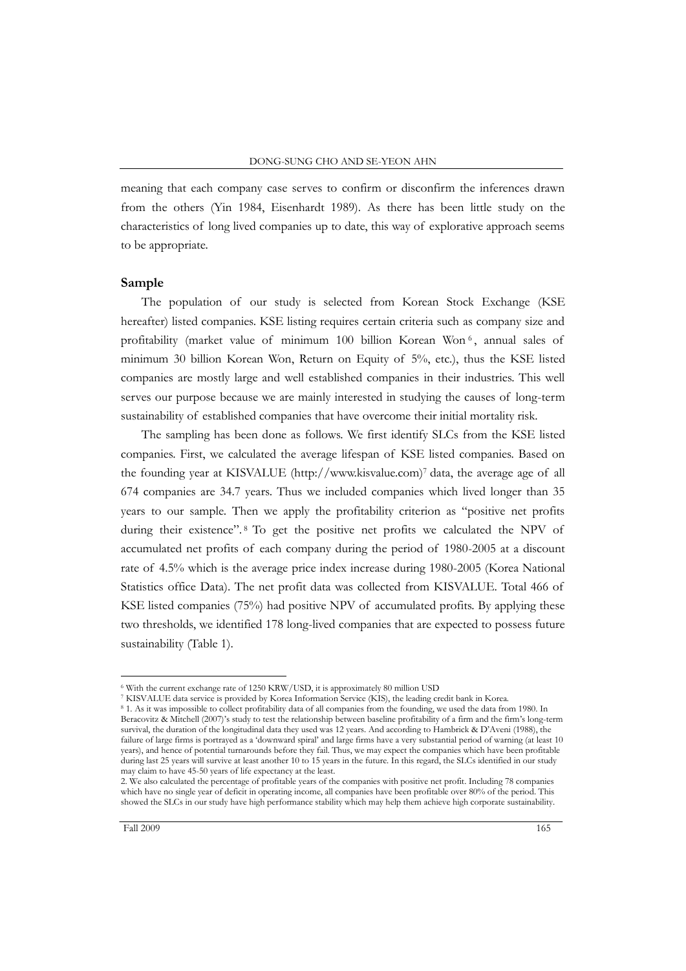meaning that each company case serves to confirm or disconfirm the inferences drawn from the others (Yin 1984, Eisenhardt 1989). As there has been little study on the characteristics of long lived companies up to date, this way of explorative approach seems to be appropriate.

## **Sample**

The population of our study is selected from Korean Stock Exchange (KSE hereafter) listed companies. KSE listing requires certain criteria such as company size and profitability (market value of minimum 100 billion Korean Won <sup>6</sup> , annual sales of minimum 30 billion Korean Won, Return on Equity of 5%, etc.), thus the KSE listed companies are mostly large and well established companies in their industries. This well serves our purpose because we are mainly interested in studying the causes of long-term sustainability of established companies that have overcome their initial mortality risk.

The sampling has been done as follows. We first identify SLCs from the KSE listed companies. First, we calculated the average lifespan of KSE listed companies. Based on the founding year at KISVALUE (http://www.kisvalue.com)<sup>7</sup> data, the average age of all 674 companies are 34.7 years. Thus we included companies which lived longer than 35 years to our sample. Then we apply the profitability criterion as "positive net profits during their existence".<sup>8</sup> To get the positive net profits we calculated the NPV of accumulated net profits of each company during the period of 1980-2005 at a discount rate of 4.5% which is the average price index increase during 1980-2005 (Korea National Statistics office Data). The net profit data was collected from KISVALUE. Total 466 of KSE listed companies (75%) had positive NPV of accumulated profits. By applying these two thresholds, we identified 178 long-lived companies that are expected to possess future sustainability (Table 1).

<sup>6</sup> With the current exchange rate of 1250 KRW/USD, it is approximately 80 million USD

<sup>7</sup> KISVALUE data service is provided by Korea Information Service (KIS), the leading credit bank in Korea.

<sup>8</sup> 1. As it was impossible to collect profitability data of all companies from the founding, we used the data from 1980. In Beracovitz & Mitchell (2007)'s study to test the relationship between baseline profitability of a firm and the firm's long-term survival, the duration of the longitudinal data they used was 12 years. And according to Hambrick & D"Aveni (1988), the failure of large firms is portrayed as a "downward spiral" and large firms have a very substantial period of warning (at least 10 years), and hence of potential turnarounds before they fail. Thus, we may expect the companies which have been profitable during last 25 years will survive at least another 10 to 15 years in the future. In this regard, the SLCs identified in our study may claim to have 45-50 years of life expectancy at the least.

<sup>2.</sup> We also calculated the percentage of profitable years of the companies with positive net profit. Including 78 companies which have no single year of deficit in operating income, all companies have been profitable over 80% of the period. This showed the SLCs in our study have high performance stability which may help them achieve high corporate sustainability.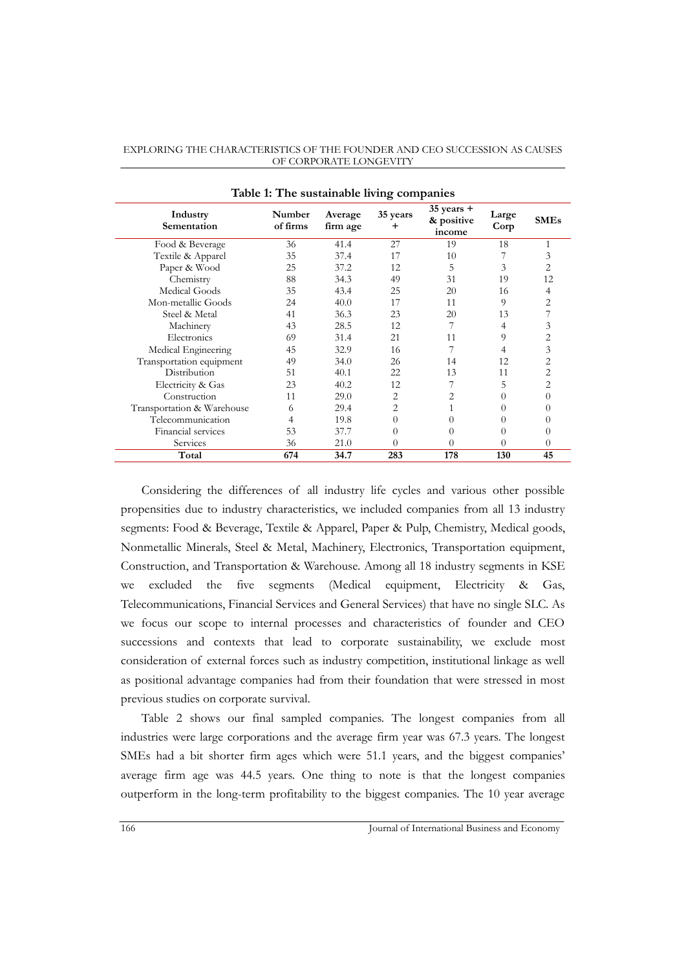| Table 1: The sustainable living companies |                    |                     |                |                                        |               |             |  |  |  |
|-------------------------------------------|--------------------|---------------------|----------------|----------------------------------------|---------------|-------------|--|--|--|
| Industry<br>Sementation                   | Number<br>of firms | Average<br>firm age | 35 years<br>+  | $35$ years $+$<br>& positive<br>income | Large<br>Corp | <b>SMEs</b> |  |  |  |
| Food & Beverage                           | 36                 | 41.4                | 27             | 19                                     | 18            | 1           |  |  |  |
| Textile & Apparel                         | 35                 | 37.4                | 17             | 10                                     |               | 3           |  |  |  |
| Paper & Wood                              | 25                 | 37.2                | 12             | 5                                      | 3             | 2           |  |  |  |
| Chemistry                                 | 88                 | 34.3                | 49             | 31                                     | 19            | 12          |  |  |  |
| Medical Goods                             | 35                 | 43.4                | 25             | 20                                     | 16            | 4           |  |  |  |
| Mon-metallic Goods                        | 24                 | 40.0                | 17             | 11                                     | 9             | 2           |  |  |  |
| Steel & Metal                             | 41                 | 36.3                | 23             | 20                                     | 13            |             |  |  |  |
| Machinery                                 | 43                 | 28.5                | 12             | 7                                      | 4             | 3           |  |  |  |
| Electronics                               | 69                 | 31.4                | 21             | 11                                     | 9             | 2           |  |  |  |
| Medical Engineering                       | 45                 | 32.9                | 16             |                                        | 4             | 3           |  |  |  |
| Transportation equipment                  | 49                 | 34.0                | 26             | 14                                     | 12            | 2           |  |  |  |
| Distribution                              | 51                 | 40.1                | 22             | 13                                     | 11            | 2           |  |  |  |
| Electricity & Gas                         | 23                 | 40.2                | 12             |                                        | 5             | 2           |  |  |  |
| Construction                              | 11                 | 29.0                | 2              | 2                                      | 0             | 0           |  |  |  |
| Transportation & Warehouse                | 6                  | 29.4                | 2              |                                        | 0             | 0           |  |  |  |
| Telecommunication                         | 4                  | 19.8                | $\overline{0}$ | $\Omega$                               | 0             | $\theta$    |  |  |  |
| Financial services                        | 53                 | 37.7                | $\theta$       | $\Omega$                               | $\Omega$      | 0           |  |  |  |
| Services                                  | 36                 | 21.0                | 0              | $\Omega$                               | 0             | $\theta$    |  |  |  |
| Total                                     | 674                | 34.7                | 283            | 178                                    | 130           | 45          |  |  |  |

Considering the differences of all industry life cycles and various other possible propensities due to industry characteristics, we included companies from all 13 industry segments: Food & Beverage, Textile & Apparel, Paper & Pulp, Chemistry, Medical goods, Nonmetallic Minerals, Steel & Metal, Machinery, Electronics, Transportation equipment, Construction, and Transportation & Warehouse. Among all 18 industry segments in KSE we excluded the five segments (Medical equipment, Electricity & Gas, Telecommunications, Financial Services and General Services) that have no single SLC. As we focus our scope to internal processes and characteristics of founder and CEO successions and contexts that lead to corporate sustainability, we exclude most consideration of external forces such as industry competition, institutional linkage as well as positional advantage companies had from their foundation that were stressed in most previous studies on corporate survival.

Table 2 shows our final sampled companies. The longest companies from all industries were large corporations and the average firm year was 67.3 years. The longest SMEs had a bit shorter firm ages which were 51.1 years, and the biggest companies' average firm age was 44.5 years. One thing to note is that the longest companies outperform in the long-term profitability to the biggest companies. The 10 year average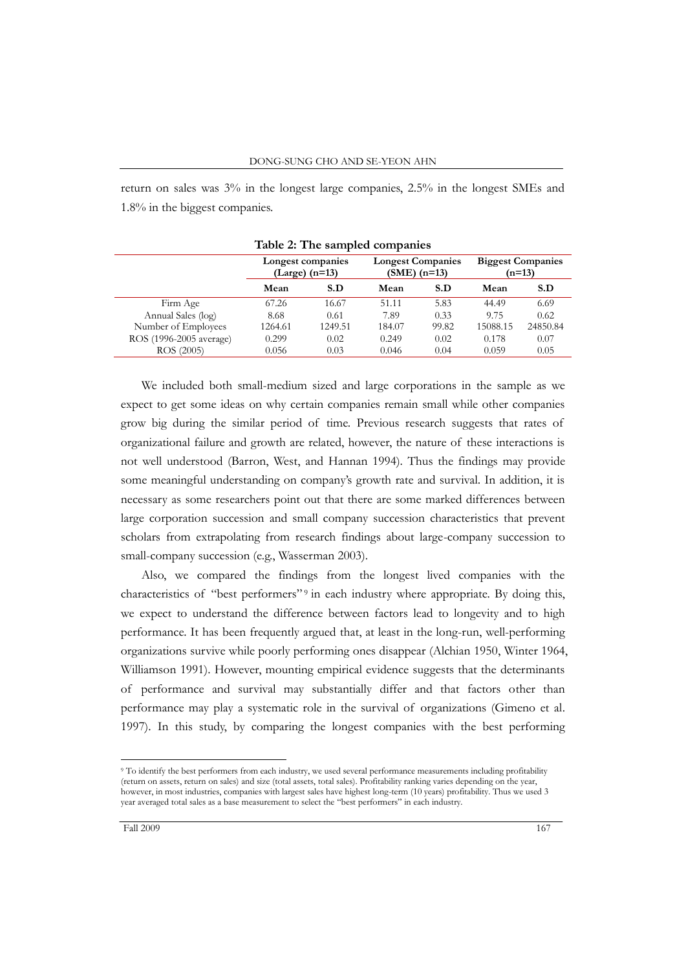return on sales was 3% in the longest large companies, 2.5% in the longest SMEs and 1.8% in the biggest companies.

|                         | Longest companies<br>$(Large)$ (n=13) |         | <b>Longest Companies</b><br>$(SME)$ (n=13) |       | <b>Biggest Companies</b><br>$(n=13)$ |          |  |
|-------------------------|---------------------------------------|---------|--------------------------------------------|-------|--------------------------------------|----------|--|
|                         | Mean                                  | S.D     | Mean                                       | S.D   | Mean                                 | S.D      |  |
| Firm Age                | 67.26                                 | 16.67   | 51.11                                      | 5.83  | 44.49                                | 6.69     |  |
| Annual Sales (log)      | 8.68                                  | 0.61    | 7.89                                       | 0.33  | 9.75                                 | 0.62     |  |
| Number of Employees     | 1264.61                               | 1249.51 | 184.07                                     | 99.82 | 15088.15                             | 24850.84 |  |
| ROS (1996-2005 average) | 0.299                                 | 0.02    | 0.249                                      | 0.02  | 0.178                                | 0.07     |  |
| ROS (2005)              | 0.056                                 | 0.03    | 0.046                                      | 0.04  | 0.059                                | 0.05     |  |

**Table 2: The sampled companies**

We included both small-medium sized and large corporations in the sample as we expect to get some ideas on why certain companies remain small while other companies grow big during the similar period of time. Previous research suggests that rates of organizational failure and growth are related, however, the nature of these interactions is not well understood (Barron, West, and Hannan 1994). Thus the findings may provide some meaningful understanding on company's growth rate and survival. In addition, it is necessary as some researchers point out that there are some marked differences between large corporation succession and small company succession characteristics that prevent scholars from extrapolating from research findings about large-company succession to small-company succession (e.g., Wasserman 2003).

Also, we compared the findings from the longest lived companies with the characteristics of "best performers"<sup>9</sup> in each industry where appropriate. By doing this, we expect to understand the difference between factors lead to longevity and to high performance. It has been frequently argued that, at least in the long-run, well-performing organizations survive while poorly performing ones disappear (Alchian 1950, Winter 1964, Williamson 1991). However, mounting empirical evidence suggests that the determinants of performance and survival may substantially differ and that factors other than performance may play a systematic role in the survival of organizations (Gimeno et al. 1997). In this study, by comparing the longest companies with the best performing

<sup>&</sup>lt;sup>9</sup> To identify the best performers from each industry, we used several performance measurements including profitability (return on assets, return on sales) and size (total assets, total sales). Profitability ranking varies depending on the year, however, in most industries, companies with largest sales have highest long-term (10 years) profitability. Thus we used 3 year averaged total sales as a base measurement to select the "best performers" in each industry.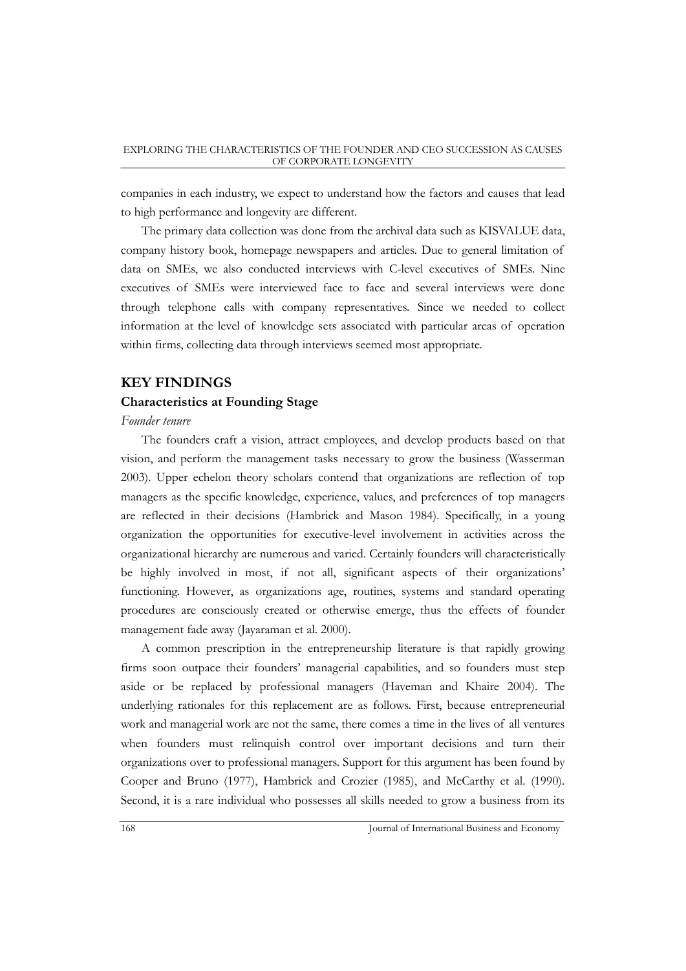companies in each industry, we expect to understand how the factors and causes that lead to high performance and longevity are different.

The primary data collection was done from the archival data such as KISVALUE data, company history book, homepage newspapers and articles. Due to general limitation of data on SMEs, we also conducted interviews with C-level executives of SMEs. Nine executives of SMEs were interviewed face to face and several interviews were done through telephone calls with company representatives. Since we needed to collect information at the level of knowledge sets associated with particular areas of operation within firms, collecting data through interviews seemed most appropriate.

## **KEY FINDINGS**

## **Characteristics at Founding Stage**

## *Founder tenure*

The founders craft a vision, attract employees, and develop products based on that vision, and perform the management tasks necessary to grow the business (Wasserman 2003). Upper echelon theory scholars contend that organizations are reflection of top managers as the specific knowledge, experience, values, and preferences of top managers are reflected in their decisions (Hambrick and Mason 1984). Specifically, in a young organization the opportunities for executive-level involvement in activities across the organizational hierarchy are numerous and varied. Certainly founders will characteristically be highly involved in most, if not all, significant aspects of their organizations' functioning. However, as organizations age, routines, systems and standard operating procedures are consciously created or otherwise emerge, thus the effects of founder management fade away (Jayaraman et al. 2000).

A common prescription in the entrepreneurship literature is that rapidly growing firms soon outpace their founders" managerial capabilities, and so founders must step aside or be replaced by professional managers (Haveman and Khaire 2004). The underlying rationales for this replacement are as follows. First, because entrepreneurial work and managerial work are not the same, there comes a time in the lives of all ventures when founders must relinquish control over important decisions and turn their organizations over to professional managers. Support for this argument has been found by Cooper and Bruno (1977), Hambrick and Crozier (1985), and McCarthy et al. (1990). Second, it is a rare individual who possesses all skills needed to grow a business from its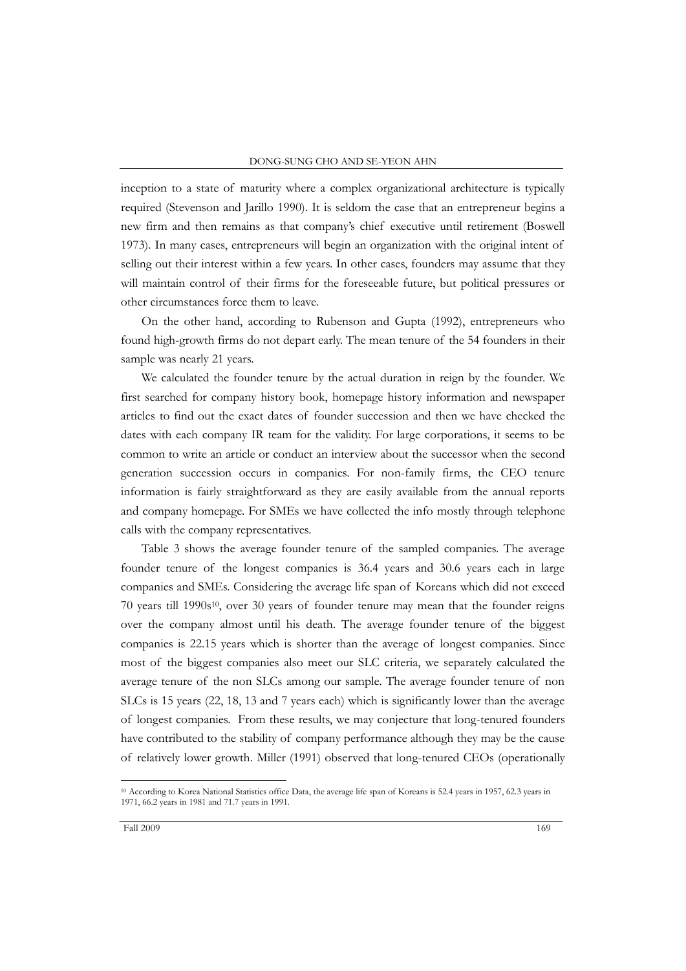inception to a state of maturity where a complex organizational architecture is typically required (Stevenson and Jarillo 1990). It is seldom the case that an entrepreneur begins a new firm and then remains as that company"s chief executive until retirement (Boswell 1973). In many cases, entrepreneurs will begin an organization with the original intent of selling out their interest within a few years. In other cases, founders may assume that they will maintain control of their firms for the foreseeable future, but political pressures or other circumstances force them to leave.

On the other hand, according to Rubenson and Gupta (1992), entrepreneurs who found high-growth firms do not depart early. The mean tenure of the 54 founders in their sample was nearly 21 years.

We calculated the founder tenure by the actual duration in reign by the founder. We first searched for company history book, homepage history information and newspaper articles to find out the exact dates of founder succession and then we have checked the dates with each company IR team for the validity. For large corporations, it seems to be common to write an article or conduct an interview about the successor when the second generation succession occurs in companies. For non-family firms, the CEO tenure information is fairly straightforward as they are easily available from the annual reports and company homepage. For SMEs we have collected the info mostly through telephone calls with the company representatives.

Table 3 shows the average founder tenure of the sampled companies. The average founder tenure of the longest companies is 36.4 years and 30.6 years each in large companies and SMEs. Considering the average life span of Koreans which did not exceed 70 years till  $1990s^{10}$ , over 30 years of founder tenure may mean that the founder reigns over the company almost until his death. The average founder tenure of the biggest companies is 22.15 years which is shorter than the average of longest companies. Since most of the biggest companies also meet our SLC criteria, we separately calculated the average tenure of the non SLCs among our sample. The average founder tenure of non SLCs is 15 years (22, 18, 13 and 7 years each) which is significantly lower than the average of longest companies. From these results, we may conjecture that long-tenured founders have contributed to the stability of company performance although they may be the cause of relatively lower growth. Miller (1991) observed that long-tenured CEOs (operationally

<sup>10</sup> According to Korea National Statistics office Data, the average life span of Koreans is 52.4 years in 1957, 62.3 years in 1971, 66.2 years in 1981 and 71.7 years in 1991.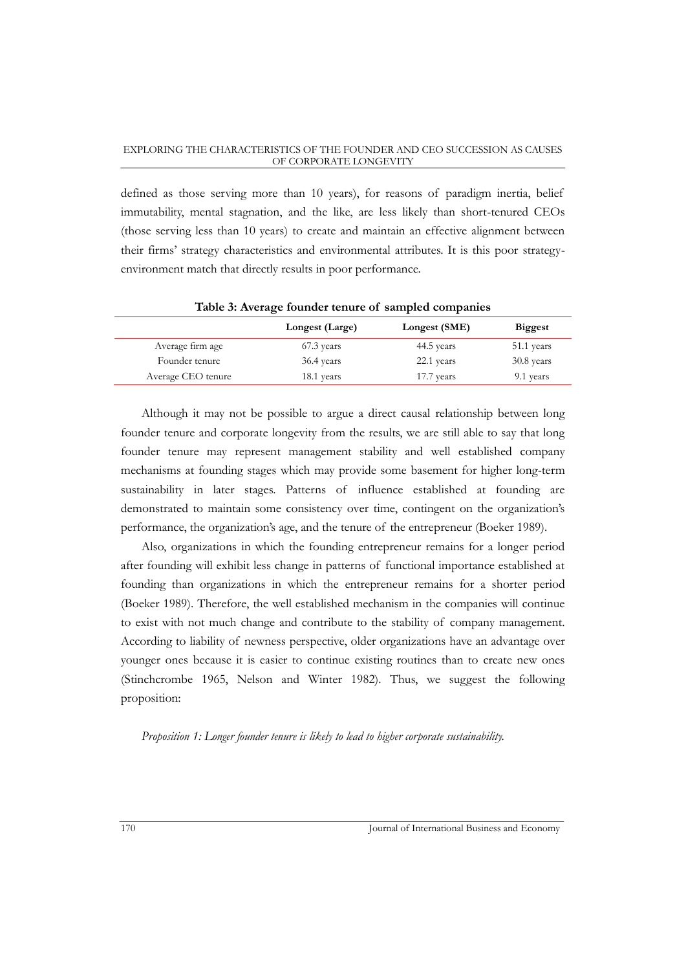defined as those serving more than 10 years), for reasons of paradigm inertia, belief immutability, mental stagnation, and the like, are less likely than short-tenured CEOs (those serving less than 10 years) to create and maintain an effective alignment between their firms" strategy characteristics and environmental attributes. It is this poor strategyenvironment match that directly results in poor performance.

|                    | Longest (Large) | Longest (SME) | <b>Biggest</b> |
|--------------------|-----------------|---------------|----------------|
| Average firm age   | 67.3 years      | 44.5 years    | 51.1 years     |
| Founder tenure     | 36.4 years      | 22.1 years    | 30.8 years     |
| Average CEO tenure | 18.1 years      | 17.7 years    | 9.1 years      |
|                    |                 |               |                |

**Table 3: Average founder tenure of sampled companies**

Although it may not be possible to argue a direct causal relationship between long founder tenure and corporate longevity from the results, we are still able to say that long founder tenure may represent management stability and well established company mechanisms at founding stages which may provide some basement for higher long-term sustainability in later stages. Patterns of influence established at founding are demonstrated to maintain some consistency over time, contingent on the organization's performance, the organization's age, and the tenure of the entrepreneur (Boeker 1989).

Also, organizations in which the founding entrepreneur remains for a longer period after founding will exhibit less change in patterns of functional importance established at founding than organizations in which the entrepreneur remains for a shorter period (Boeker 1989). Therefore, the well established mechanism in the companies will continue to exist with not much change and contribute to the stability of company management. According to liability of newness perspective, older organizations have an advantage over younger ones because it is easier to continue existing routines than to create new ones (Stinchcrombe 1965, Nelson and Winter 1982). Thus, we suggest the following proposition:

*Proposition 1: Longer founder tenure is likely to lead to higher corporate sustainability.*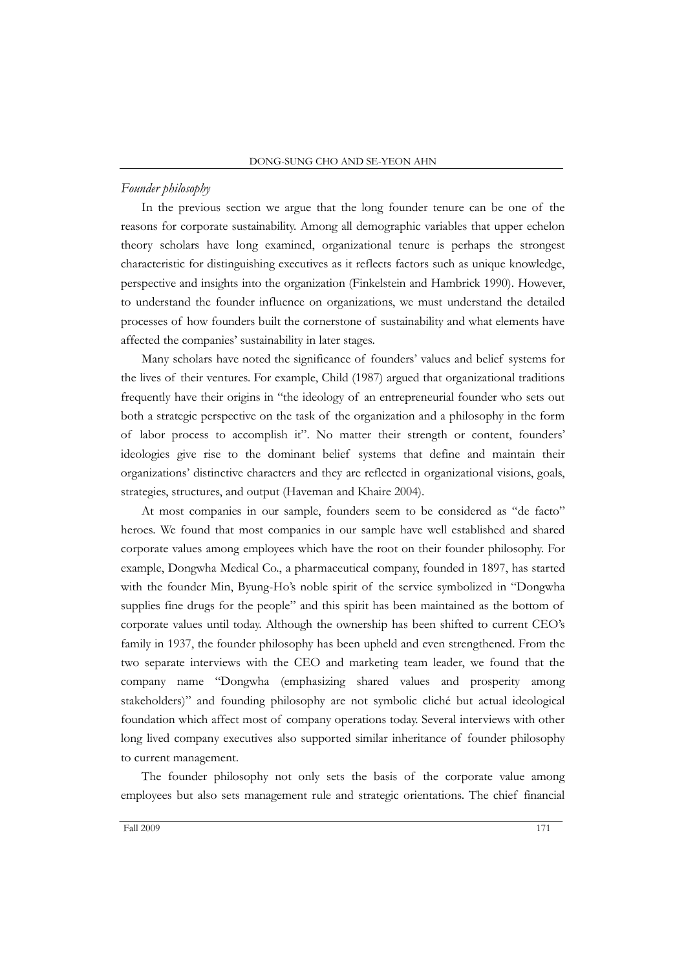## *Founder philosophy*

In the previous section we argue that the long founder tenure can be one of the reasons for corporate sustainability. Among all demographic variables that upper echelon theory scholars have long examined, organizational tenure is perhaps the strongest characteristic for distinguishing executives as it reflects factors such as unique knowledge, perspective and insights into the organization (Finkelstein and Hambrick 1990). However, to understand the founder influence on organizations, we must understand the detailed processes of how founders built the cornerstone of sustainability and what elements have affected the companies' sustainability in later stages.

Many scholars have noted the significance of founders" values and belief systems for the lives of their ventures. For example, Child (1987) argued that organizational traditions frequently have their origins in "the ideology of an entrepreneurial founder who sets out both a strategic perspective on the task of the organization and a philosophy in the form of labor process to accomplish it". No matter their strength or content, founders" ideologies give rise to the dominant belief systems that define and maintain their organizations" distinctive characters and they are reflected in organizational visions, goals, strategies, structures, and output (Haveman and Khaire 2004).

At most companies in our sample, founders seem to be considered as "de facto" heroes. We found that most companies in our sample have well established and shared corporate values among employees which have the root on their founder philosophy. For example, Dongwha Medical Co., a pharmaceutical company, founded in 1897, has started with the founder Min, Byung-Ho's noble spirit of the service symbolized in "Dongwha supplies fine drugs for the people" and this spirit has been maintained as the bottom of corporate values until today. Although the ownership has been shifted to current CEO"s family in 1937, the founder philosophy has been upheld and even strengthened. From the two separate interviews with the CEO and marketing team leader, we found that the company name "Dongwha (emphasizing shared values and prosperity among stakeholders)" and founding philosophy are not symbolic cliché but actual ideological foundation which affect most of company operations today. Several interviews with other long lived company executives also supported similar inheritance of founder philosophy to current management.

The founder philosophy not only sets the basis of the corporate value among employees but also sets management rule and strategic orientations. The chief financial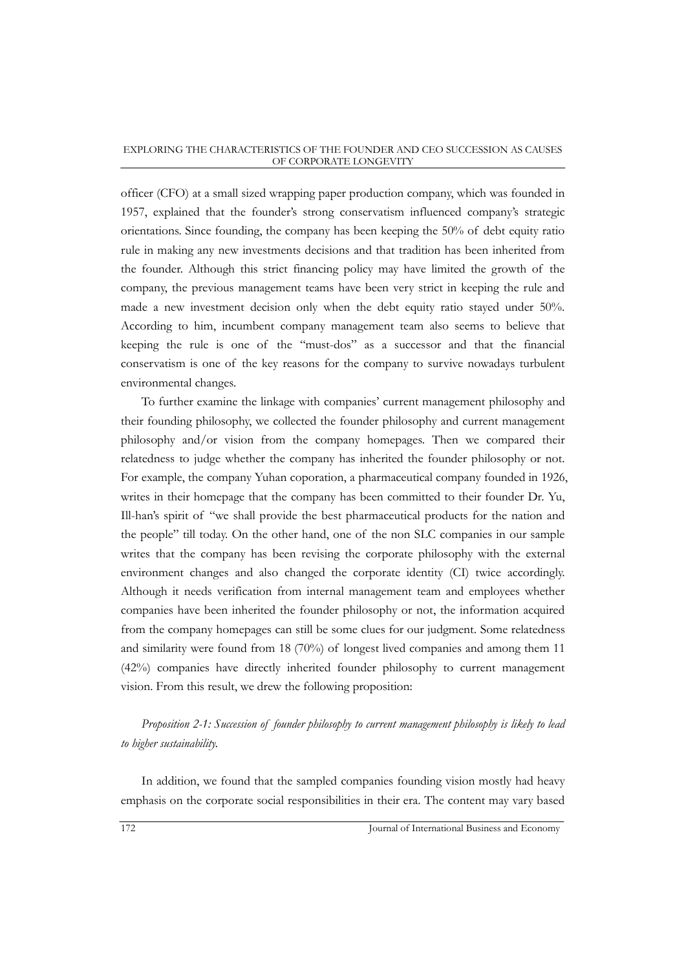officer (CFO) at a small sized wrapping paper production company, which was founded in 1957, explained that the founder"s strong conservatism influenced company"s strategic orientations. Since founding, the company has been keeping the 50% of debt equity ratio rule in making any new investments decisions and that tradition has been inherited from the founder. Although this strict financing policy may have limited the growth of the company, the previous management teams have been very strict in keeping the rule and made a new investment decision only when the debt equity ratio stayed under 50%. According to him, incumbent company management team also seems to believe that keeping the rule is one of the "must-dos" as a successor and that the financial conservatism is one of the key reasons for the company to survive nowadays turbulent environmental changes.

To further examine the linkage with companies" current management philosophy and their founding philosophy, we collected the founder philosophy and current management philosophy and/or vision from the company homepages. Then we compared their relatedness to judge whether the company has inherited the founder philosophy or not. For example, the company Yuhan coporation, a pharmaceutical company founded in 1926, writes in their homepage that the company has been committed to their founder Dr. Yu, Ill-han's spirit of "we shall provide the best pharmaceutical products for the nation and the people" till today. On the other hand, one of the non SLC companies in our sample writes that the company has been revising the corporate philosophy with the external environment changes and also changed the corporate identity (CI) twice accordingly. Although it needs verification from internal management team and employees whether companies have been inherited the founder philosophy or not, the information acquired from the company homepages can still be some clues for our judgment. Some relatedness and similarity were found from 18 (70%) of longest lived companies and among them 11 (42%) companies have directly inherited founder philosophy to current management vision. From this result, we drew the following proposition:

*Proposition 2-1: Succession of founder philosophy to current management philosophy is likely to lead to higher sustainability.*

In addition, we found that the sampled companies founding vision mostly had heavy emphasis on the corporate social responsibilities in their era. The content may vary based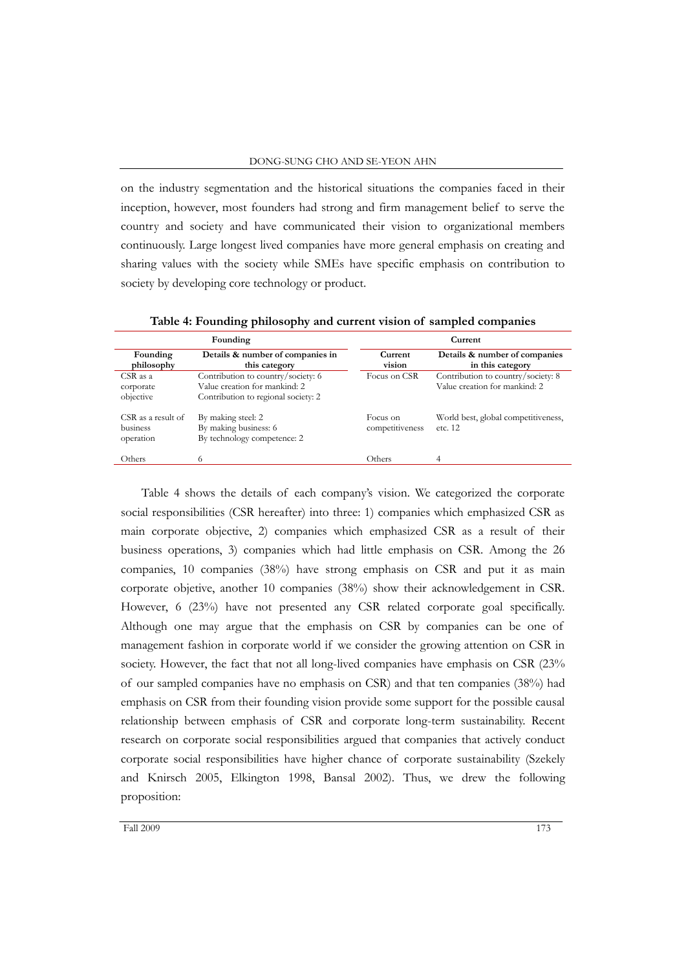on the industry segmentation and the historical situations the companies faced in their inception, however, most founders had strong and firm management belief to serve the country and society and have communicated their vision to organizational members continuously. Large longest lived companies have more general emphasis on creating and sharing values with the society while SMEs have specific emphasis on contribution to society by developing core technology or product.

|                                             | Founding                                                                                                   | Current                     |                                                                     |  |  |
|---------------------------------------------|------------------------------------------------------------------------------------------------------------|-----------------------------|---------------------------------------------------------------------|--|--|
| Founding<br>philosophy                      | Details & number of companies in<br>this category                                                          | Current<br>vision           | Details & number of companies<br>in this category                   |  |  |
| $CSR$ as a<br>corporate<br>objective        | Contribution to country/society: 6<br>Value creation for mankind: 2<br>Contribution to regional society: 2 | Focus on CSR                | Contribution to country/society: 8<br>Value creation for mankind: 2 |  |  |
| CSR as a result of<br>business<br>operation | By making steel: 2<br>By making business: 6<br>By technology competence: 2                                 | Focus on<br>competitiveness | World best, global competitiveness,<br>etc. 12                      |  |  |
| Others                                      | 6                                                                                                          | Others                      | 4                                                                   |  |  |

**Table 4: Founding philosophy and current vision of sampled companies**

Table 4 shows the details of each company's vision. We categorized the corporate social responsibilities (CSR hereafter) into three: 1) companies which emphasized CSR as main corporate objective, 2) companies which emphasized CSR as a result of their business operations, 3) companies which had little emphasis on CSR. Among the 26 companies, 10 companies (38%) have strong emphasis on CSR and put it as main corporate objetive, another 10 companies (38%) show their acknowledgement in CSR. However, 6 (23%) have not presented any CSR related corporate goal specifically. Although one may argue that the emphasis on CSR by companies can be one of management fashion in corporate world if we consider the growing attention on CSR in society. However, the fact that not all long-lived companies have emphasis on CSR (23% of our sampled companies have no emphasis on CSR) and that ten companies (38%) had emphasis on CSR from their founding vision provide some support for the possible causal relationship between emphasis of CSR and corporate long-term sustainability. Recent research on corporate social responsibilities argued that companies that actively conduct corporate social responsibilities have higher chance of corporate sustainability (Szekely and Knirsch 2005, Elkington 1998, Bansal 2002). Thus, we drew the following proposition: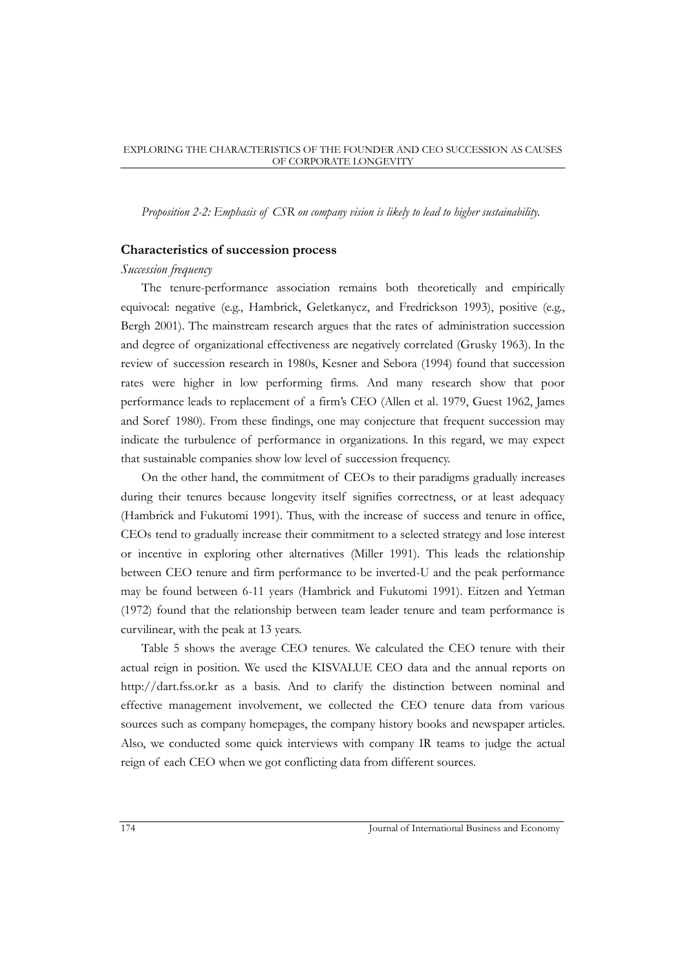*Proposition 2-2: Emphasis of CSR on company vision is likely to lead to higher sustainability.*

## **Characteristics of succession process**

#### *Succession frequency*

The tenure-performance association remains both theoretically and empirically equivocal: negative (e.g., Hambrick, Geletkanycz, and Fredrickson 1993), positive (e.g., Bergh 2001). The mainstream research argues that the rates of administration succession and degree of organizational effectiveness are negatively correlated (Grusky 1963). In the review of succession research in 1980s, Kesner and Sebora (1994) found that succession rates were higher in low performing firms. And many research show that poor performance leads to replacement of a firm"s CEO (Allen et al. 1979, Guest 1962, James and Soref 1980). From these findings, one may conjecture that frequent succession may indicate the turbulence of performance in organizations. In this regard, we may expect that sustainable companies show low level of succession frequency.

On the other hand, the commitment of CEOs to their paradigms gradually increases during their tenures because longevity itself signifies correctness, or at least adequacy (Hambrick and Fukutomi 1991). Thus, with the increase of success and tenure in office, CEOs tend to gradually increase their commitment to a selected strategy and lose interest or incentive in exploring other alternatives (Miller 1991). This leads the relationship between CEO tenure and firm performance to be inverted-U and the peak performance may be found between 6-11 years (Hambrick and Fukutomi 1991). Eitzen and Yetman (1972) found that the relationship between team leader tenure and team performance is curvilinear, with the peak at 13 years.

Table 5 shows the average CEO tenures. We calculated the CEO tenure with their actual reign in position. We used the KISVALUE CEO data and the annual reports on http://dart.fss.or.kr as a basis. And to clarify the distinction between nominal and effective management involvement, we collected the CEO tenure data from various sources such as company homepages, the company history books and newspaper articles. Also, we conducted some quick interviews with company IR teams to judge the actual reign of each CEO when we got conflicting data from different sources.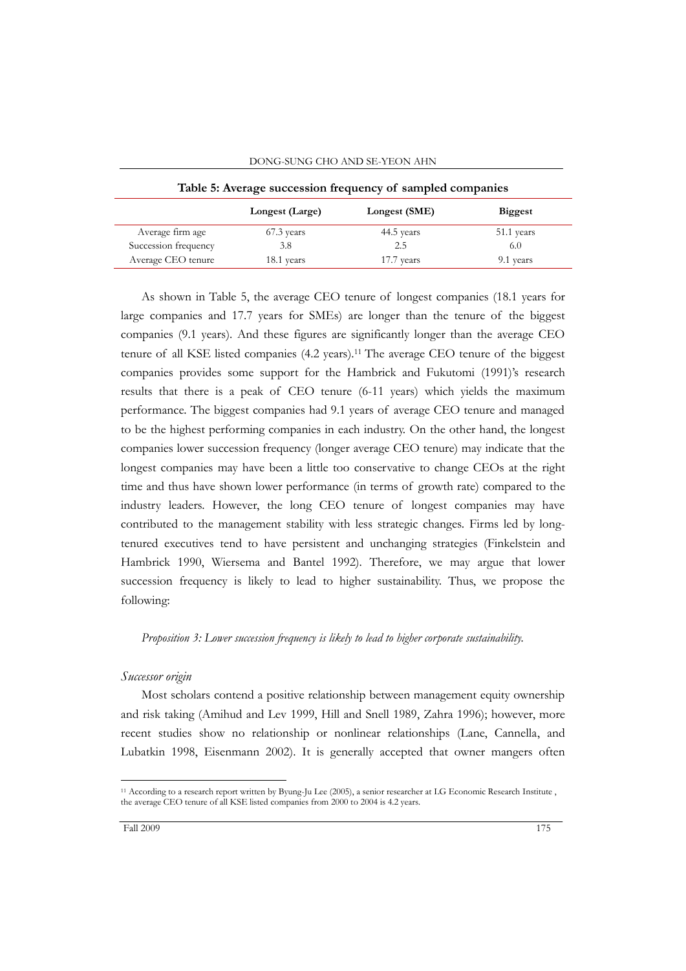| Table 5: Average succession frequency of sampled companies |                 |               |                |  |  |  |
|------------------------------------------------------------|-----------------|---------------|----------------|--|--|--|
|                                                            | Longest (Large) | Longest (SME) | <b>Biggest</b> |  |  |  |
| Average firm age                                           | 67.3 years      | 44.5 years    | 51.1 years     |  |  |  |
| Succession frequency                                       | 3.8             | 2.5           | 6.0            |  |  |  |
| Average CEO tenure                                         | 18.1 years      | 17.7 years    | 9.1 years      |  |  |  |

DONG-SUNG CHO AND SE-YEON AHN

As shown in Table 5, the average CEO tenure of longest companies (18.1 years for large companies and 17.7 years for SMEs) are longer than the tenure of the biggest companies (9.1 years). And these figures are significantly longer than the average CEO tenure of all KSE listed companies (4.2 years).<sup>11</sup> The average CEO tenure of the biggest companies provides some support for the Hambrick and Fukutomi (1991)'s research results that there is a peak of CEO tenure (6-11 years) which yields the maximum performance. The biggest companies had 9.1 years of average CEO tenure and managed to be the highest performing companies in each industry. On the other hand, the longest companies lower succession frequency (longer average CEO tenure) may indicate that the longest companies may have been a little too conservative to change CEOs at the right time and thus have shown lower performance (in terms of growth rate) compared to the industry leaders. However, the long CEO tenure of longest companies may have contributed to the management stability with less strategic changes. Firms led by longtenured executives tend to have persistent and unchanging strategies (Finkelstein and Hambrick 1990, Wiersema and Bantel 1992). Therefore, we may argue that lower succession frequency is likely to lead to higher sustainability. Thus, we propose the following:

*Proposition 3: Lower succession frequency is likely to lead to higher corporate sustainability.*

## *Successor origin*

Most scholars contend a positive relationship between management equity ownership and risk taking (Amihud and Lev 1999, Hill and Snell 1989, Zahra 1996); however, more recent studies show no relationship or nonlinear relationships (Lane, Cannella, and Lubatkin 1998, Eisenmann 2002). It is generally accepted that owner mangers often

<sup>11</sup> According to a research report written by Byung-Ju Lee (2005), a senior researcher at LG Economic Research Institute , the average CEO tenure of all KSE listed companies from 2000 to 2004 is 4.2 years.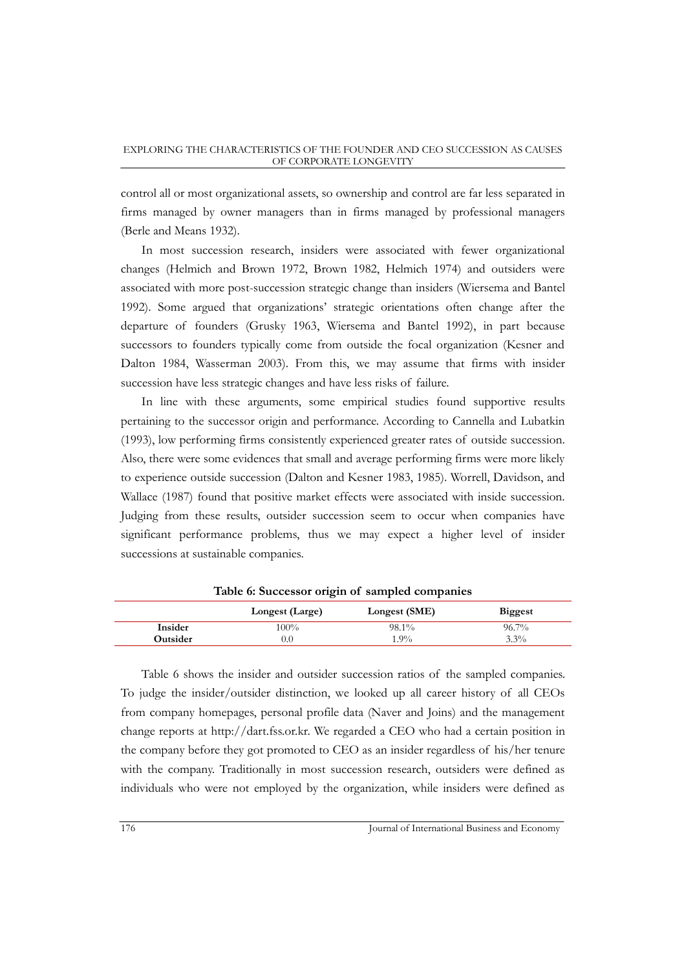control all or most organizational assets, so ownership and control are far less separated in firms managed by owner managers than in firms managed by professional managers (Berle and Means 1932).

In most succession research, insiders were associated with fewer organizational changes (Helmich and Brown 1972, Brown 1982, Helmich 1974) and outsiders were associated with more post-succession strategic change than insiders (Wiersema and Bantel 1992). Some argued that organizations" strategic orientations often change after the departure of founders (Grusky 1963, Wiersema and Bantel 1992), in part because successors to founders typically come from outside the focal organization (Kesner and Dalton 1984, Wasserman 2003). From this, we may assume that firms with insider succession have less strategic changes and have less risks of failure.

In line with these arguments, some empirical studies found supportive results pertaining to the successor origin and performance. According to Cannella and Lubatkin (1993), low performing firms consistently experienced greater rates of outside succession. Also, there were some evidences that small and average performing firms were more likely to experience outside succession (Dalton and Kesner 1983, 1985). Worrell, Davidson, and Wallace (1987) found that positive market effects were associated with inside succession. Judging from these results, outsider succession seem to occur when companies have significant performance problems, thus we may expect a higher level of insider successions at sustainable companies.

|          | Longest (Large) | Longest (SME) | <b>Biggest</b> |
|----------|-----------------|---------------|----------------|
| Insider  | $100\%$         | 98.1%         | $96.7\%$       |
| Outsider | 0.0             | $1.9\%$       | $3.3\%$        |

**Table 6: Successor origin of sampled companies**

Table 6 shows the insider and outsider succession ratios of the sampled companies. To judge the insider/outsider distinction, we looked up all career history of all CEOs from company homepages, personal profile data (Naver and Joins) and the management change reports at http://dart.fss.or.kr. We regarded a CEO who had a certain position in the company before they got promoted to CEO as an insider regardless of his/her tenure with the company. Traditionally in most succession research, outsiders were defined as individuals who were not employed by the organization, while insiders were defined as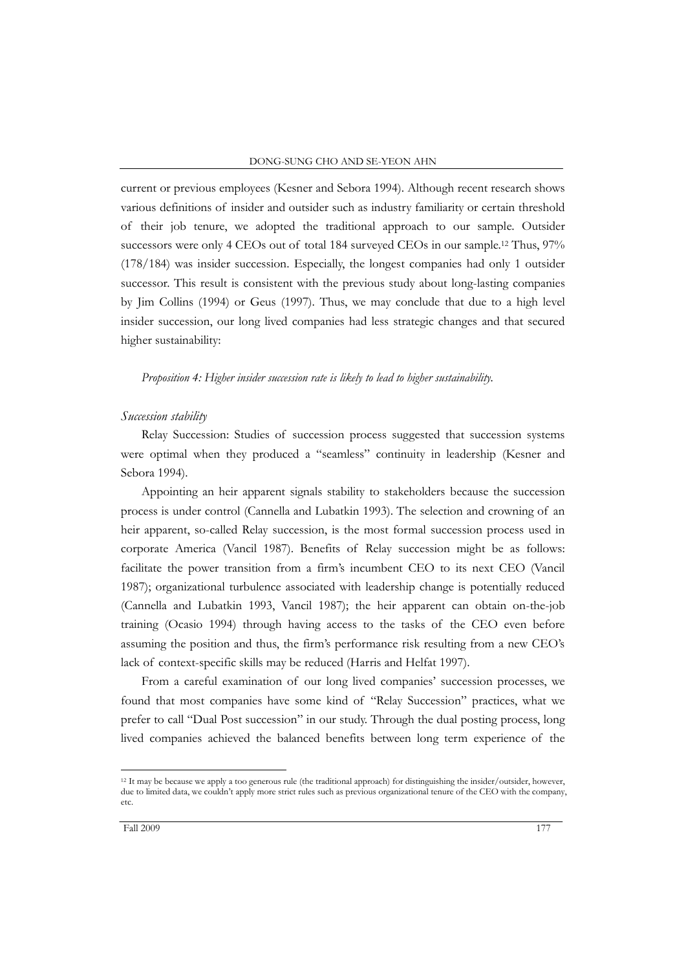current or previous employees (Kesner and Sebora 1994). Although recent research shows various definitions of insider and outsider such as industry familiarity or certain threshold of their job tenure, we adopted the traditional approach to our sample. Outsider successors were only 4 CEOs out of total 184 surveyed CEOs in our sample. <sup>12</sup> Thus, 97% (178/184) was insider succession. Especially, the longest companies had only 1 outsider successor. This result is consistent with the previous study about long-lasting companies by Jim Collins (1994) or Geus (1997). Thus, we may conclude that due to a high level insider succession, our long lived companies had less strategic changes and that secured higher sustainability:

#### *Proposition 4: Higher insider succession rate is likely to lead to higher sustainability.*

#### *Succession stability*

Relay Succession: Studies of succession process suggested that succession systems were optimal when they produced a "seamless" continuity in leadership (Kesner and Sebora 1994).

Appointing an heir apparent signals stability to stakeholders because the succession process is under control (Cannella and Lubatkin 1993). The selection and crowning of an heir apparent, so-called Relay succession, is the most formal succession process used in corporate America (Vancil 1987). Benefits of Relay succession might be as follows: facilitate the power transition from a firm"s incumbent CEO to its next CEO (Vancil 1987); organizational turbulence associated with leadership change is potentially reduced (Cannella and Lubatkin 1993, Vancil 1987); the heir apparent can obtain on-the-job training (Ocasio 1994) through having access to the tasks of the CEO even before assuming the position and thus, the firm"s performance risk resulting from a new CEO"s lack of context-specific skills may be reduced (Harris and Helfat 1997).

From a careful examination of our long lived companies" succession processes, we found that most companies have some kind of "Relay Succession" practices, what we prefer to call "Dual Post succession" in our study. Through the dual posting process, long lived companies achieved the balanced benefits between long term experience of the

<sup>12</sup> It may be because we apply a too generous rule (the traditional approach) for distinguishing the insider/outsider, however, due to limited data, we couldn't apply more strict rules such as previous organizational tenure of the CEO with the company, etc.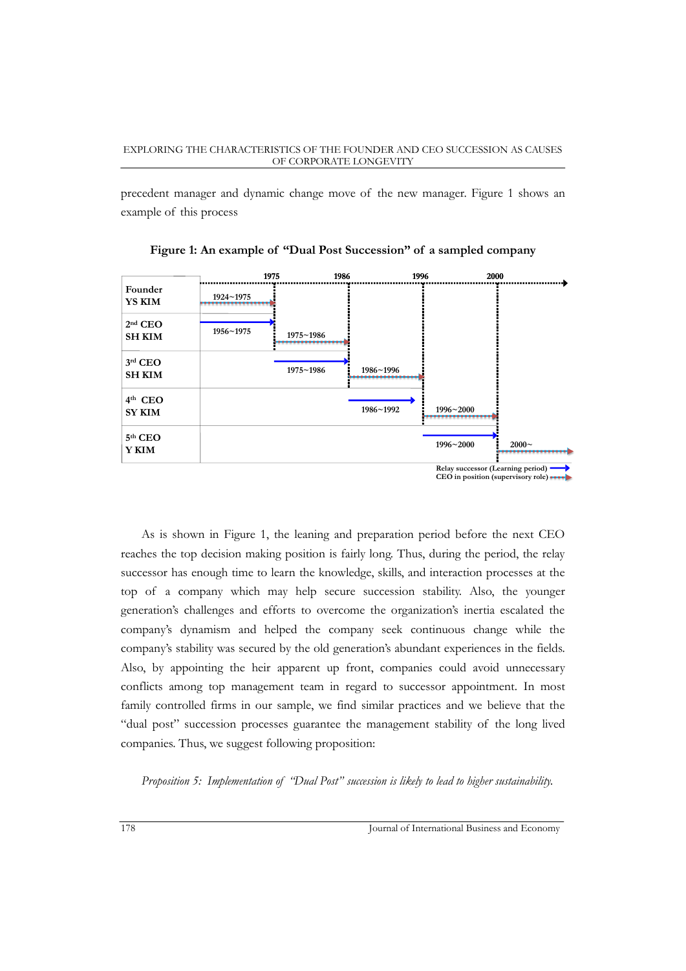precedent manager and dynamic change move of the new manager. Figure 1 shows an example of this process

|                            | 1975      | 1986      | 1996          | 2000                                | …⊾                                      |
|----------------------------|-----------|-----------|---------------|-------------------------------------|-----------------------------------------|
| Founder<br><b>YS KIM</b>   | 1924~1975 |           |               |                                     |                                         |
| $2nd$ CEO<br><b>SH KIM</b> | 1956~1975 | 1975~1986 |               |                                     |                                         |
| $3rd$ CEO<br><b>SH KIM</b> |           | 1975~1986 | 1986~1996<br> |                                     |                                         |
| $4th$ CEO<br><b>SY KIM</b> |           |           | 1986~1992     | $1996 - 2000$                       |                                         |
| 5th CEO<br>Y KIM           |           |           |               | 1996~2000                           | $2000 -$                                |
|                            |           |           |               | Relay successor (Learning period) . | CEO in position (supervisory role) ---- |

**Figure 1: An example of "Dual Post Succession" of a sampled company**

As is shown in Figure 1, the leaning and preparation period before the next CEO reaches the top decision making position is fairly long. Thus, during the period, the relay successor has enough time to learn the knowledge, skills, and interaction processes at the top of a company which may help secure succession stability. Also, the younger generation"s challenges and efforts to overcome the organization"s inertia escalated the company"s dynamism and helped the company seek continuous change while the company's stability was secured by the old generation's abundant experiences in the fields. Also, by appointing the heir apparent up front, companies could avoid unnecessary conflicts among top management team in regard to successor appointment. In most family controlled firms in our sample, we find similar practices and we believe that the "dual post" succession processes guarantee the management stability of the long lived companies. Thus, we suggest following proposition:

*Proposition 5: Implementation of "Dual Post" succession is likely to lead to higher sustainability.*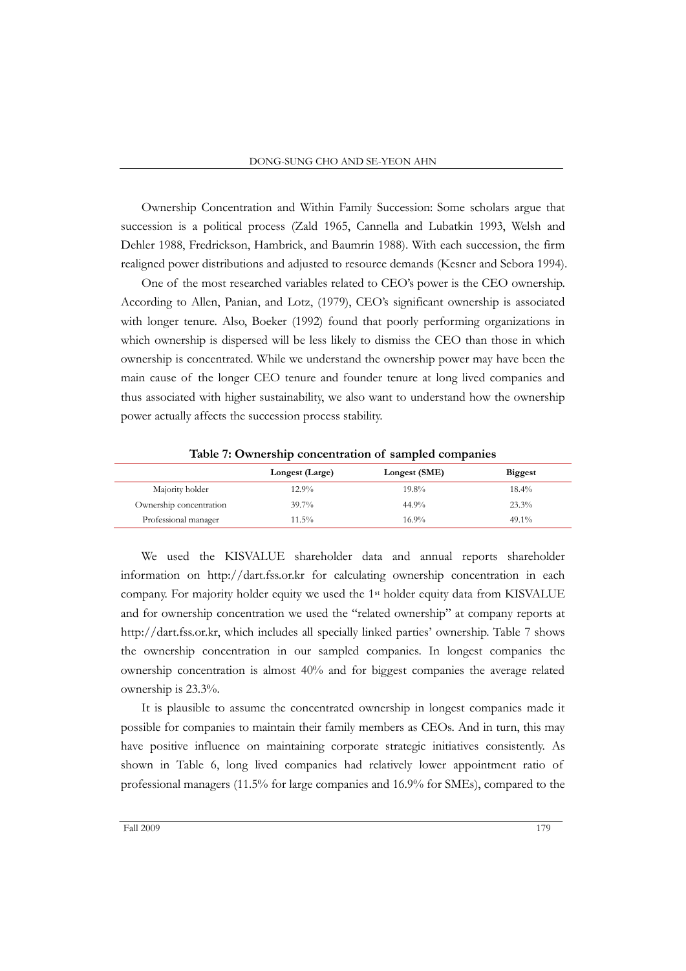Ownership Concentration and Within Family Succession: Some scholars argue that succession is a political process (Zald 1965, Cannella and Lubatkin 1993, Welsh and Dehler 1988, Fredrickson, Hambrick, and Baumrin 1988). With each succession, the firm realigned power distributions and adjusted to resource demands (Kesner and Sebora 1994).

One of the most researched variables related to CEO"s power is the CEO ownership. According to Allen, Panian, and Lotz, (1979), CEO"s significant ownership is associated with longer tenure. Also, Boeker (1992) found that poorly performing organizations in which ownership is dispersed will be less likely to dismiss the CEO than those in which ownership is concentrated. While we understand the ownership power may have been the main cause of the longer CEO tenure and founder tenure at long lived companies and thus associated with higher sustainability, we also want to understand how the ownership power actually affects the succession process stability.

**Longest (Large) Longest (SME) Biggest** Majority holder 12.9% 19.8% 19.8% 18.4% Ownership concentration 39.7% 44.9% 23.3% 23.3% Professional manager  $11.5\%$  16.9%  $16.9\%$  49.1%

**Table 7: Ownership concentration of sampled companies**

We used the KISVALUE shareholder data and annual reports shareholder information on http://dart.fss.or.kr for calculating ownership concentration in each company. For majority holder equity we used the 1st holder equity data from KISVALUE and for ownership concentration we used the "related ownership" at company reports at http://dart.fss.or.kr, which includes all specially linked parties" ownership. Table 7 shows the ownership concentration in our sampled companies. In longest companies the ownership concentration is almost 40% and for biggest companies the average related ownership is 23.3%.

It is plausible to assume the concentrated ownership in longest companies made it possible for companies to maintain their family members as CEOs. And in turn, this may have positive influence on maintaining corporate strategic initiatives consistently. As shown in Table 6, long lived companies had relatively lower appointment ratio of professional managers (11.5% for large companies and 16.9% for SMEs), compared to the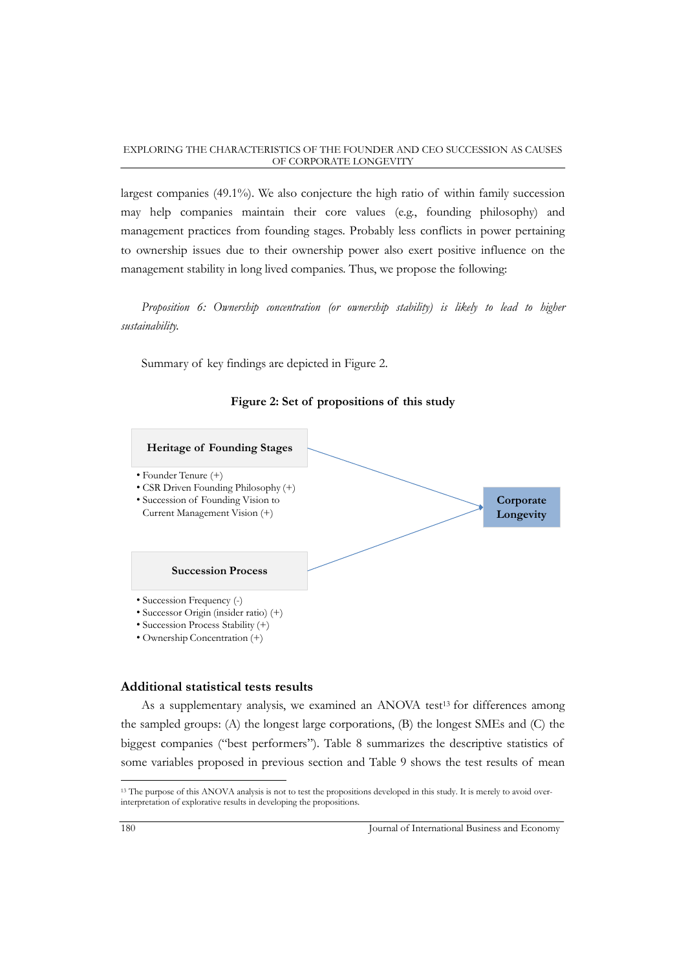largest companies (49.1%). We also conjecture the high ratio of within family succession may help companies maintain their core values (e.g., founding philosophy) and management practices from founding stages. Probably less conflicts in power pertaining to ownership issues due to their ownership power also exert positive influence on the management stability in long lived companies. Thus, we propose the following:

*Proposition 6: Ownership concentration (or ownership stability) is likely to lead to higher sustainability.* 

Summary of key findings are depicted in Figure 2.





## **Additional statistical tests results**

As a supplementary analysis, we examined an ANOVA test<sup>13</sup> for differences among the sampled groups: (A) the longest large corporations, (B) the longest SMEs and (C) the biggest companies ("best performers"). Table 8 summarizes the descriptive statistics of some variables proposed in previous section and Table 9 shows the test results of mean

<sup>&</sup>lt;sup>13</sup> The purpose of this ANOVA analysis is not to test the propositions developed in this study. It is merely to avoid overinterpretation of explorative results in developing the propositions.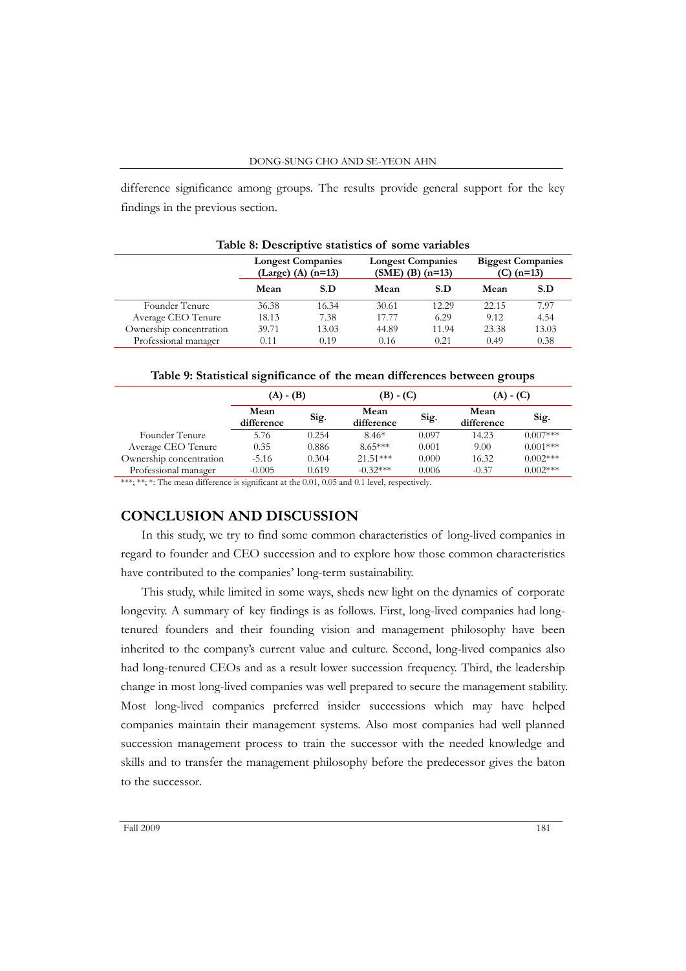difference significance among groups. The results provide general support for the key findings in the previous section.

| Table of Descriptive statistics of some variables |                                                  |       |                                                  |       |                                          |       |  |  |
|---------------------------------------------------|--------------------------------------------------|-------|--------------------------------------------------|-------|------------------------------------------|-------|--|--|
|                                                   | <b>Longest Companies</b><br>(Large) (A) $(n=13)$ |       | <b>Longest Companies</b><br>$(SME)$ (B) $(n=13)$ |       | <b>Biggest Companies</b><br>(C) $(n=13)$ |       |  |  |
|                                                   | Mean                                             | S.D   | Mean                                             | S.D   | Mean                                     | S.D   |  |  |
| Founder Tenure                                    | 36.38                                            | 16.34 | 30.61                                            | 12.29 | 22.15                                    | 7.97  |  |  |
| Average CEO Tenure                                | 18.13                                            | 7.38  | 17.77                                            | 6.29  | 9.12                                     | 4.54  |  |  |
| Ownership concentration                           | 39.71                                            | 13.03 | 44.89                                            | 11.94 | 23.38                                    | 13.03 |  |  |
| Professional manager                              | 0.11                                             | 0.19  | 0.16                                             | 0.21  | 0.49                                     | 0.38  |  |  |

**Table 8: Descriptive statistics of some variables**

| Table 9: Statistical significance of the mean differences between groups |  |  |  |
|--------------------------------------------------------------------------|--|--|--|
|                                                                          |  |  |  |

|                                                                                                             | $(A) - (B)$        |       | $(B) - (C)$        |       | $(A) - (C)$        |            |
|-------------------------------------------------------------------------------------------------------------|--------------------|-------|--------------------|-------|--------------------|------------|
|                                                                                                             | Mean<br>difference | Sig.  | Mean<br>difference | Sig.  | Mean<br>difference | Sig.       |
| Founder Tenure                                                                                              | 5.76               | 0.254 | $8.46*$            | 0.097 | 14.23              | $0.007***$ |
| Average CEO Tenure                                                                                          | 0.35               | 0.886 | $8.65***$          | 0.001 | 9.00               | $0.001***$ |
| Ownership concentration                                                                                     | $-5.16$            | 0.304 | $21.51***$         | 0.000 | 16.32              | $0.002***$ |
| Professional manager                                                                                        | $-0.005$           | 0.619 | $-0.32***$         | 0.006 | $-0.37$            | $0.002***$ |
| $x \times x$ , $x$ , $x$ , $y$ and $y$ difference is similar to the 0.01, 0.05 and 0.1 level secondized $y$ |                    |       |                    |       |                    |            |

The mean difference is significant at the  $0.01$ ,  $0.05$  and  $0.1$  level, respectively.

## **CONCLUSION AND DISCUSSION**

In this study, we try to find some common characteristics of long-lived companies in regard to founder and CEO succession and to explore how those common characteristics have contributed to the companies' long-term sustainability.

This study, while limited in some ways, sheds new light on the dynamics of corporate longevity. A summary of key findings is as follows. First, long-lived companies had longtenured founders and their founding vision and management philosophy have been inherited to the company's current value and culture. Second, long-lived companies also had long-tenured CEOs and as a result lower succession frequency. Third, the leadership change in most long-lived companies was well prepared to secure the management stability. Most long-lived companies preferred insider successions which may have helped companies maintain their management systems. Also most companies had well planned succession management process to train the successor with the needed knowledge and skills and to transfer the management philosophy before the predecessor gives the baton to the successor.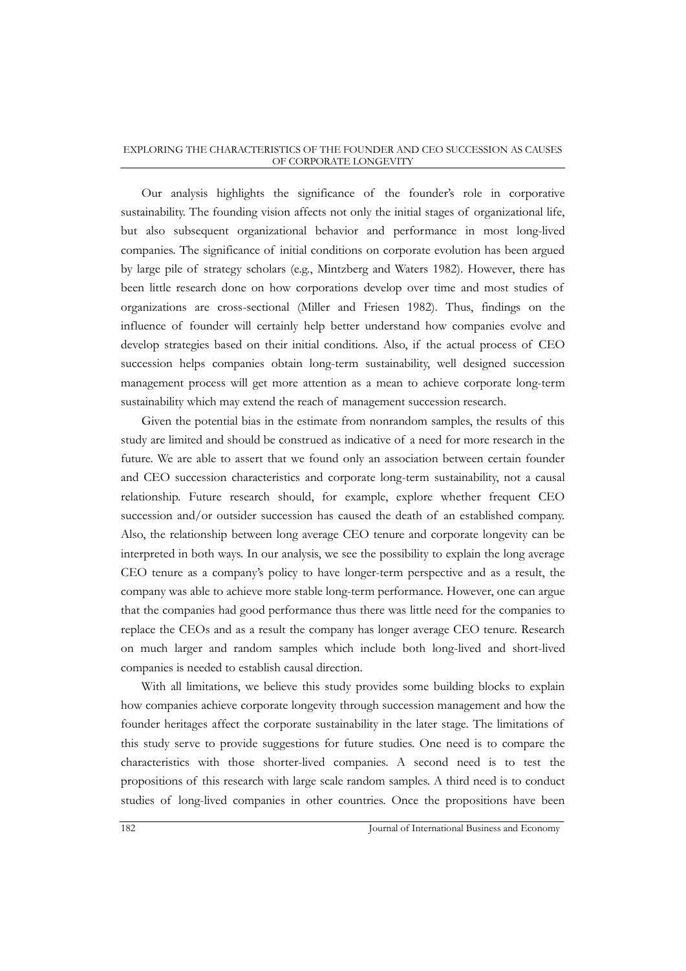Our analysis highlights the significance of the founder"s role in corporative sustainability. The founding vision affects not only the initial stages of organizational life, but also subsequent organizational behavior and performance in most long-lived companies. The significance of initial conditions on corporate evolution has been argued by large pile of strategy scholars (e.g., Mintzberg and Waters 1982). However, there has been little research done on how corporations develop over time and most studies of organizations are cross-sectional (Miller and Friesen 1982). Thus, findings on the influence of founder will certainly help better understand how companies evolve and develop strategies based on their initial conditions. Also, if the actual process of CEO succession helps companies obtain long-term sustainability, well designed succession management process will get more attention as a mean to achieve corporate long-term sustainability which may extend the reach of management succession research.

Given the potential bias in the estimate from nonrandom samples, the results of this study are limited and should be construed as indicative of a need for more research in the future. We are able to assert that we found only an association between certain founder and CEO succession characteristics and corporate long-term sustainability, not a causal relationship. Future research should, for example, explore whether frequent CEO succession and/or outsider succession has caused the death of an established company. Also, the relationship between long average CEO tenure and corporate longevity can be interpreted in both ways. In our analysis, we see the possibility to explain the long average CEO tenure as a company"s policy to have longer-term perspective and as a result, the company was able to achieve more stable long-term performance. However, one can argue that the companies had good performance thus there was little need for the companies to replace the CEOs and as a result the company has longer average CEO tenure. Research on much larger and random samples which include both long-lived and short-lived companies is needed to establish causal direction.

With all limitations, we believe this study provides some building blocks to explain how companies achieve corporate longevity through succession management and how the founder heritages affect the corporate sustainability in the later stage. The limitations of this study serve to provide suggestions for future studies. One need is to compare the characteristics with those shorter-lived companies. A second need is to test the propositions of this research with large scale random samples. A third need is to conduct studies of long-lived companies in other countries. Once the propositions have been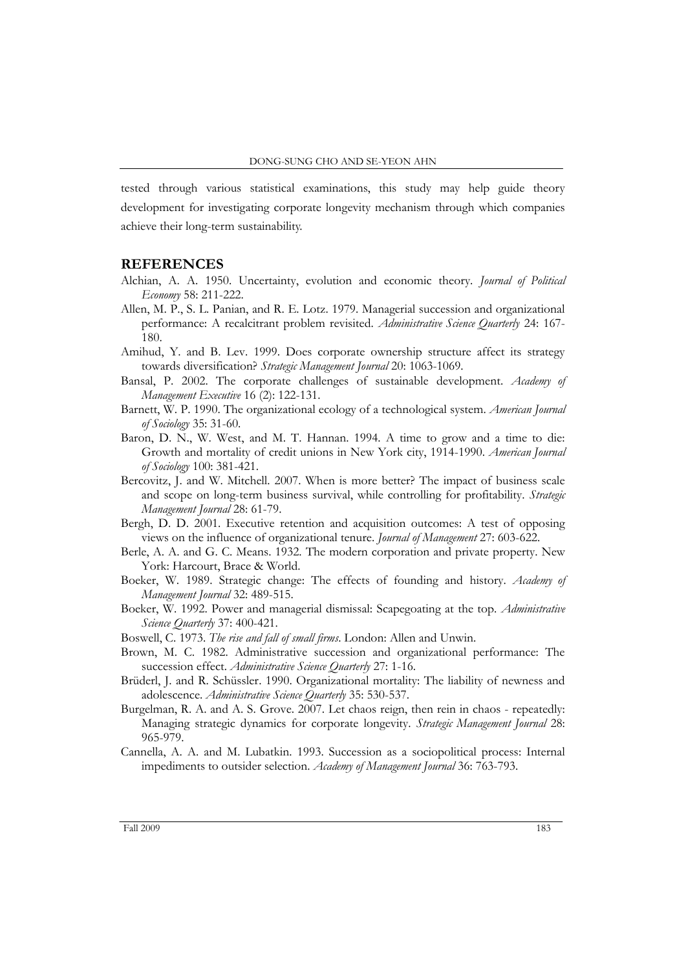tested through various statistical examinations, this study may help guide theory development for investigating corporate longevity mechanism through which companies achieve their long-term sustainability.

## **REFERENCES**

- Alchian, A. A. 1950. Uncertainty, evolution and economic theory. *Journal of Political Economy* 58: 211-222.
- Allen, M. P., S. L. Panian, and R. E. Lotz. 1979. Managerial succession and organizational performance: A recalcitrant problem revisited. *Administrative Science Quarterly* 24: 167- 180.
- Amihud, Y. and B. Lev. 1999. Does corporate ownership structure affect its strategy towards diversification? *Strategic Management Journal* 20: 1063-1069.
- Bansal, P. 2002. The corporate challenges of sustainable development. *Academy of Management Executive* 16 (2): 122-131.
- Barnett, W. P. 1990. The organizational ecology of a technological system. *American Journal of Sociology* 35: 31-60.
- Baron, D. N., W. West, and M. T. Hannan. 1994. A time to grow and a time to die: Growth and mortality of credit unions in New York city, 1914-1990. *American Journal of Sociology* 100: 381-421.
- Bercovitz, J. and W. Mitchell. 2007. When is more better? The impact of business scale and scope on long-term business survival, while controlling for profitability. *Strategic Management Journal* 28: 61-79.
- Bergh, D. D. 2001. Executive retention and acquisition outcomes: A test of opposing views on the influence of organizational tenure. *Journal of Management* 27: 603-622.
- Berle, A. A. and G. C. Means. 1932. The modern corporation and private property. New York: Harcourt, Brace & World.
- Boeker, W. 1989. Strategic change: The effects of founding and history. *Academy of Management Journal* 32: 489-515.
- Boeker, W. 1992. Power and managerial dismissal: Scapegoating at the top. *Administrative Science Quarterly* 37: 400-421.
- Boswell, C. 1973. *The rise and fall of small firms*. London: Allen and Unwin.
- Brown, M. C. 1982. Administrative succession and organizational performance: The succession effect. *Administrative Science Quarterly* 27: 1-16.
- Brüderl, J. and R. Schüssler. 1990. Organizational mortality: The liability of newness and adolescence. *Administrative Science Quarterly* 35: 530-537.
- Burgelman, R. A. and A. S. Grove. 2007. Let chaos reign, then rein in chaos repeatedly: Managing strategic dynamics for corporate longevity. *Strategic Management Journal* 28: 965-979.
- Cannella, A. A. and M. Lubatkin. 1993. Succession as a sociopolitical process: Internal impediments to outsider selection. *Academy of Management Journal* 36: 763-793.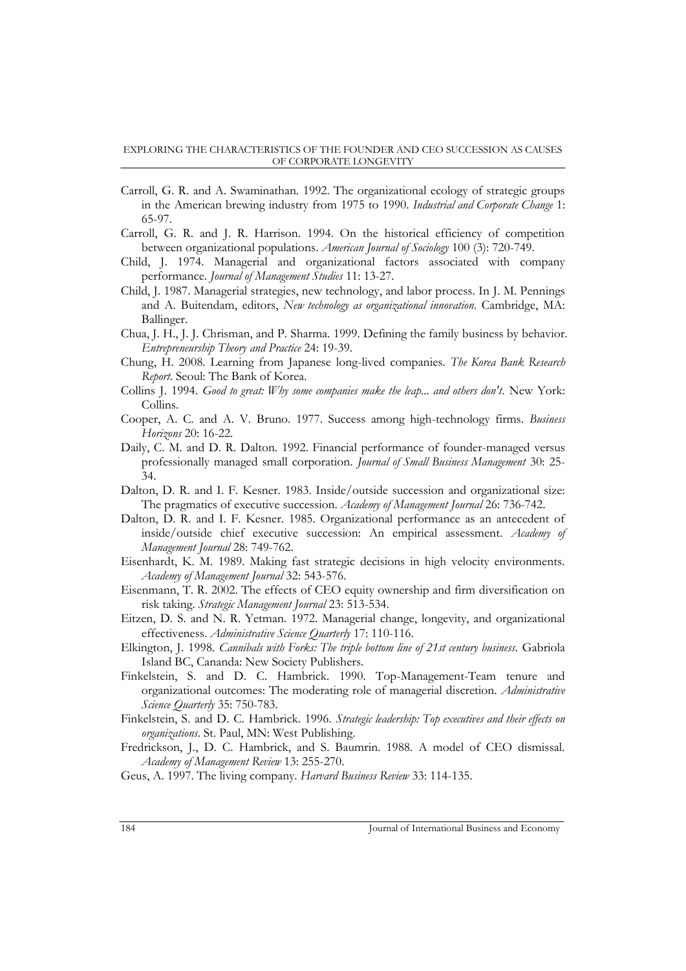- Carroll, G. R. and A. Swaminathan. 1992. The organizational ecology of strategic groups in the American brewing industry from 1975 to 1990. *Industrial and Corporate Change* 1: 65-97.
- Carroll, G. R. and J. R. Harrison. 1994. On the historical efficiency of competition between organizational populations. *American Journal of Sociology* 100 (3): 720-749.
- Child, J. 1974. Managerial and organizational factors associated with company performance. *Journal of Management Studies* 11: 13-27.
- Child, J. 1987. Managerial strategies, new technology, and labor process. In J. M. Pennings and A. Buitendam, editors, *New technology as organizational innovation*. Cambridge, MA: Ballinger.
- Chua, J. H., J. J. Chrisman, and P. Sharma. 1999. Defining the family business by behavior. *Entrepreneurship Theory and Practice* 24: 19-39.
- Chung, H. 2008. Learning from Japanese long-lived companies. *The Korea Bank Research Report*. Seoul: The Bank of Korea.
- Collins J. 1994. *Good to great: Why some companies make the leap... and others don't*. New York: Collins.
- Cooper, A. C. and A. V. Bruno. 1977. Success among high-technology firms. *Business Horizons* 20: 16-22.
- Daily, C. M. and D. R. Dalton. 1992. Financial performance of founder-managed versus professionally managed small corporation. *Journal of Small Business Management* 30: 25- 34.
- Dalton, D. R. and I. F. Kesner. 1983. Inside/outside succession and organizational size: The pragmatics of executive succession. *Academy of Management Journal* 26: 736-742.
- Dalton, D. R. and I. F. Kesner. 1985. Organizational performance as an antecedent of inside/outside chief executive succession: An empirical assessment. *Academy of Management Journal* 28: 749-762.
- Eisenhardt, K. M. 1989. Making fast strategic decisions in high velocity environments. *Academy of Management Journal* 32: 543-576.
- Eisenmann, T. R. 2002. The effects of CEO equity ownership and firm diversification on risk taking. *Strategic Management Journal* 23: 513-534.
- Eitzen, D. S. and N. R. Yetman. 1972. Managerial change, longevity, and organizational effectiveness. *Administrative Science Quarterly* 17: 110-116.
- Elkington, J. 1998. *Cannibals with Forks: The triple bottom line of 21st century business*. Gabriola Island BC, Cananda: New Society Publishers*.*
- Finkelstein, S. and D. C. Hambrick. 1990. Top-Management-Team tenure and organizational outcomes: The moderating role of managerial discretion. *Administrative Science Quarterly* 35: 750-783.
- Finkelstein, S. and D. C. Hambrick. 1996. *Strategic leadership: Top executives and their effects on organizations*. St. Paul, MN: West Publishing.
- Fredrickson, J., D. C. Hambrick, and S. Baumrin. 1988. A model of CEO dismissal. *Academy of Management Review* 13: 255-270.
- Geus, A. 1997. The living company. *Harvard Business Review* 33: 114-135.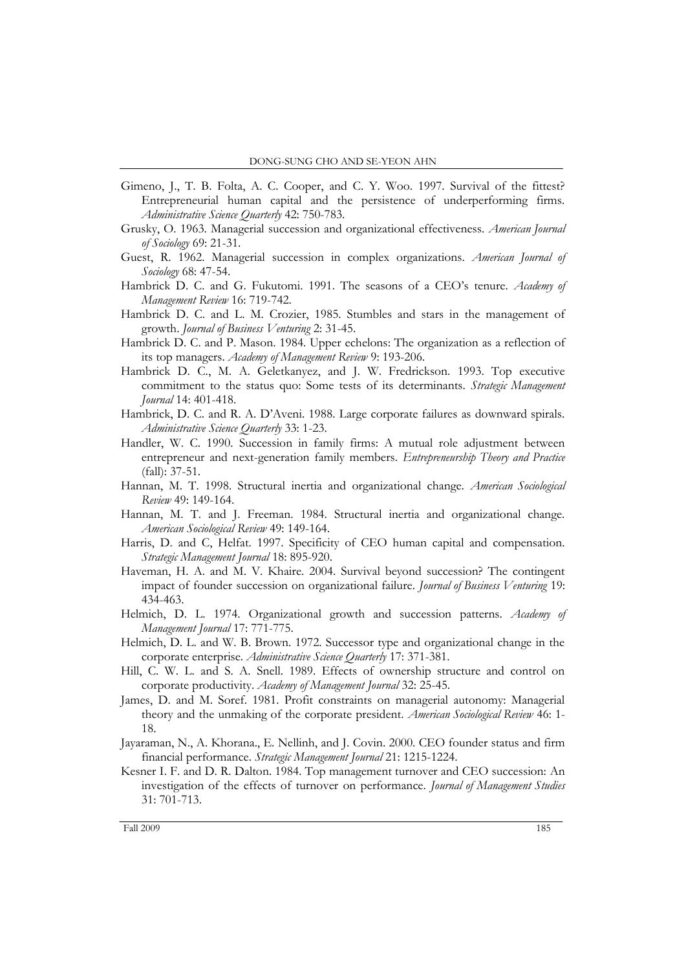- Gimeno, J., T. B. Folta, A. C. Cooper, and C. Y. Woo. 1997. Survival of the fittest? Entrepreneurial human capital and the persistence of underperforming firms. *Administrative Science Quarterly* 42: 750-783.
- Grusky, O. 1963. Managerial succession and organizational effectiveness. *American Journal of Sociology* 69: 21-31.
- Guest, R. 1962. Managerial succession in complex organizations. *American Journal of Sociology* 68: 47-54.
- Hambrick D. C. and G. Fukutomi. 1991. The seasons of a CEO"s tenure. *Academy of Management Review* 16: 719-742.
- Hambrick D. C. and L. M. Crozier, 1985. Stumbles and stars in the management of growth. *Journal of Business Venturing* 2: 31-45.
- Hambrick D. C. and P. Mason. 1984. Upper echelons: The organization as a reflection of its top managers. *Academy of Management Review* 9: 193-206.
- Hambrick D. C., M. A. Geletkanyez, and J. W. Fredrickson. 1993. Top executive commitment to the status quo: Some tests of its determinants. *Strategic Management Journal* 14: 401-418.
- Hambrick, D. C. and R. A. D"Aveni. 1988. Large corporate failures as downward spirals. *Administrative Science Quarterly* 33: 1-23.
- Handler, W. C. 1990. Succession in family firms: A mutual role adjustment between entrepreneur and next-generation family members. *Entrepreneurship Theory and Practice*  (fall): 37-51.
- Hannan, M. T. 1998. Structural inertia and organizational change. *American Sociological Review* 49: 149-164.
- Hannan, M. T. and J. Freeman. 1984. Structural inertia and organizational change. *American Sociological Review* 49: 149-164.
- Harris, D. and C, Helfat. 1997. Specificity of CEO human capital and compensation. *Strategic Management Journal* 18: 895-920.
- Haveman, H. A. and M. V. Khaire. 2004. Survival beyond succession? The contingent impact of founder succession on organizational failure. *Journal of Business Venturing* 19: 434-463.
- Helmich, D. L. 1974. Organizational growth and succession patterns. *Academy of Management Journal* 17: 771-775.
- Helmich, D. L. and W. B. Brown. 1972. Successor type and organizational change in the corporate enterprise. *Administrative Science Quarterly* 17: 371-381.
- Hill, C. W. L. and S. A. Snell. 1989. Effects of ownership structure and control on corporate productivity. *Academy of Management Journal* 32: 25-45.
- James, D. and M. Soref. 1981. Profit constraints on managerial autonomy: Managerial theory and the unmaking of the corporate president. *American Sociological Review* 46: 1- 18.
- Jayaraman, N., A. Khorana., E. Nellinh, and J. Covin. 2000. CEO founder status and firm financial performance. *Strategic Management Journal* 21: 1215-1224.
- Kesner I. F. and D. R. Dalton. 1984. Top management turnover and CEO succession: An investigation of the effects of turnover on performance. *Journal of Management Studies* 31: 701-713.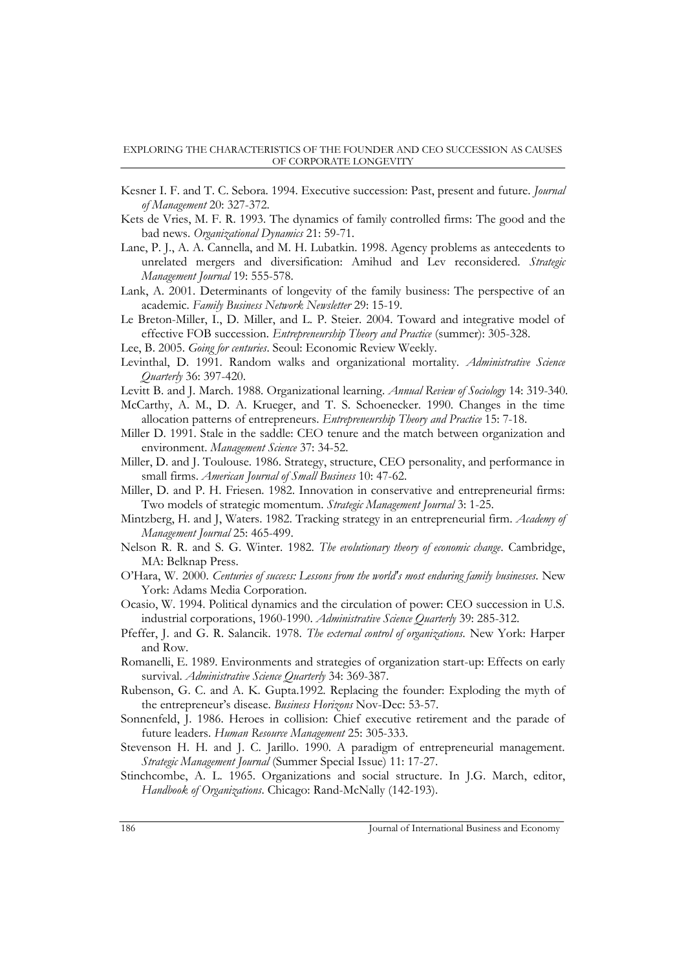- Kesner I. F. and T. C. Sebora. 1994. Executive succession: Past, present and future. *Journal of Management* 20: 327-372.
- Kets de Vries, M. F. R. 1993. The dynamics of family controlled firms: The good and the bad news. *Organizational Dynamics* 21: 59-71.
- Lane, P. J., A. A. Cannella, and M. H. Lubatkin. 1998. Agency problems as antecedents to unrelated mergers and diversification: Amihud and Lev reconsidered. *Strategic Management Journal* 19: 555-578.
- Lank, A. 2001. Determinants of longevity of the family business: The perspective of an academic. *Family Business Network Newsletter* 29: 15-19.
- Le Breton-Miller, I., D. Miller, and L. P. Steier. 2004. Toward and integrative model of effective FOB succession. *Entrepreneurship Theory and Practice* (summer): 305-328.
- Lee, B. 2005. *Going for centuries*. Seoul: Economic Review Weekly.
- Levinthal, D. 1991. Random walks and organizational mortality. *Administrative Science Quarterly* 36: 397-420.
- Levitt B. and J. March. 1988. Organizational learning. *Annual Review of Sociology* 14: 319-340.
- McCarthy, A. M., D. A. Krueger, and T. S. Schoenecker. 1990. Changes in the time allocation patterns of entrepreneurs. *Entrepreneurship Theory and Practice* 15: 7-18.
- Miller D. 1991. Stale in the saddle: CEO tenure and the match between organization and environment. *Management Science* 37: 34-52.
- Miller, D. and J. Toulouse. 1986. Strategy, structure, CEO personality, and performance in small firms. *American Journal of Small Business* 10: 47-62.
- Miller, D. and P. H. Friesen. 1982. Innovation in conservative and entrepreneurial firms: Two models of strategic momentum. *Strategic Management Journal* 3: 1-25.
- Mintzberg, H. and J, Waters. 1982. Tracking strategy in an entrepreneurial firm. *Academy of Management Journal* 25: 465-499.
- Nelson R. R. and S. G. Winter. 1982. *The evolutionary theory of economic change*. Cambridge, MA: Belknap Press.
- O"Hara, W. 2000. *Centuries of success: Lessons from the world's most enduring family businesses*. New York: Adams Media Corporation.
- Ocasio, W. 1994. Political dynamics and the circulation of power: CEO succession in U.S. industrial corporations, 1960-1990. *Administrative Science Quarterly* 39: 285-312.
- Pfeffer, J. and G. R. Salancik. 1978. *The external control of organizations*. New York: Harper and Row.
- Romanelli, E. 1989. Environments and strategies of organization start-up: Effects on early survival. *Administrative Science Quarterly* 34: 369-387.
- Rubenson, G. C. and A. K. Gupta.1992. Replacing the founder: Exploding the myth of the entrepreneur"s disease. *Business Horizons* Nov-Dec: 53-57.
- Sonnenfeld, J. 1986. Heroes in collision: Chief executive retirement and the parade of future leaders. *Human Resource Management* 25: 305-333.
- Stevenson H. H. and J. C. Jarillo. 1990. A paradigm of entrepreneurial management. *Strategic Management Journal* (Summer Special Issue) 11: 17-27.
- Stinchcombe, A. L. 1965. Organizations and social structure. In J.G. March, editor, *Handbook of Organizations*. Chicago: Rand-McNally (142-193).